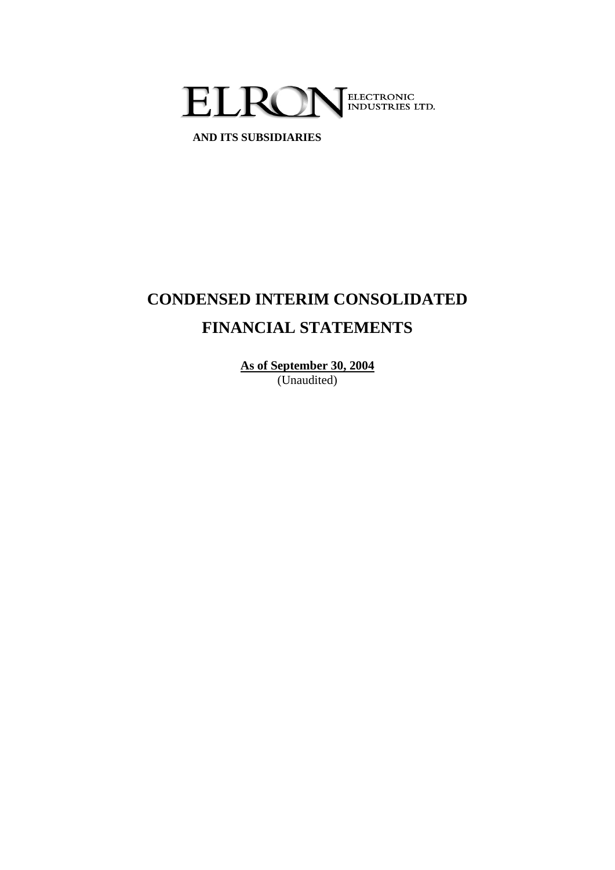

**AND ITS SUBSIDIARIES**

# **CONDENSED INTERIM CONSOLIDATED FINANCIAL STATEMENTS**

**As of September 30, 2004** (Unaudited)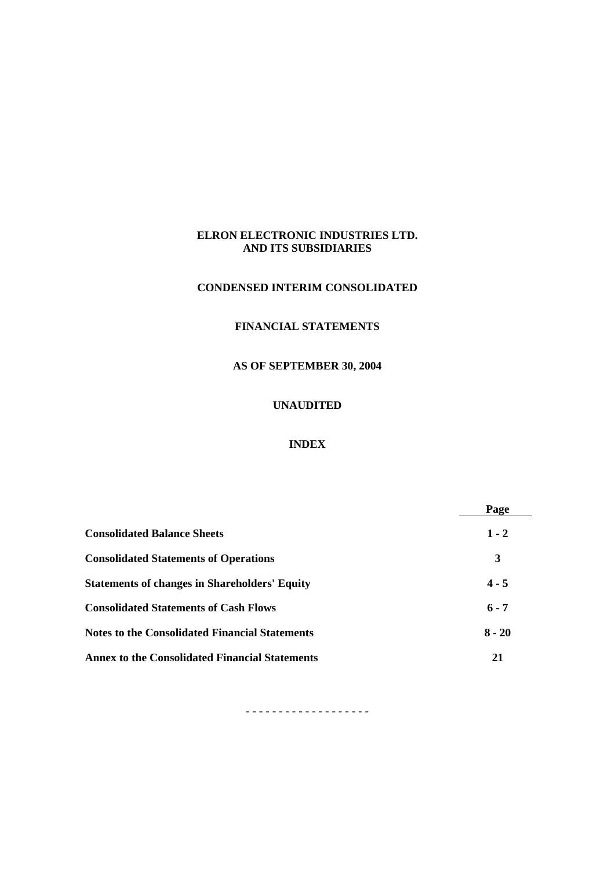#### **CONDENSED INTERIM CONSOLIDATED**

# **FINANCIAL STATEMENTS**

#### **AS OF SEPTEMBER 30, 2004**

# **UNAUDITED**

# **INDEX**

|                                                       | Page     |
|-------------------------------------------------------|----------|
| <b>Consolidated Balance Sheets</b>                    | $1 - 2$  |
| <b>Consolidated Statements of Operations</b>          | 3        |
| <b>Statements of changes in Shareholders' Equity</b>  | $4 - 5$  |
| <b>Consolidated Statements of Cash Flows</b>          | $6 - 7$  |
| <b>Notes to the Consolidated Financial Statements</b> | $8 - 20$ |
| <b>Annex to the Consolidated Financial Statements</b> | 21       |

**- - - - - - - - - - - - - - - - - - -**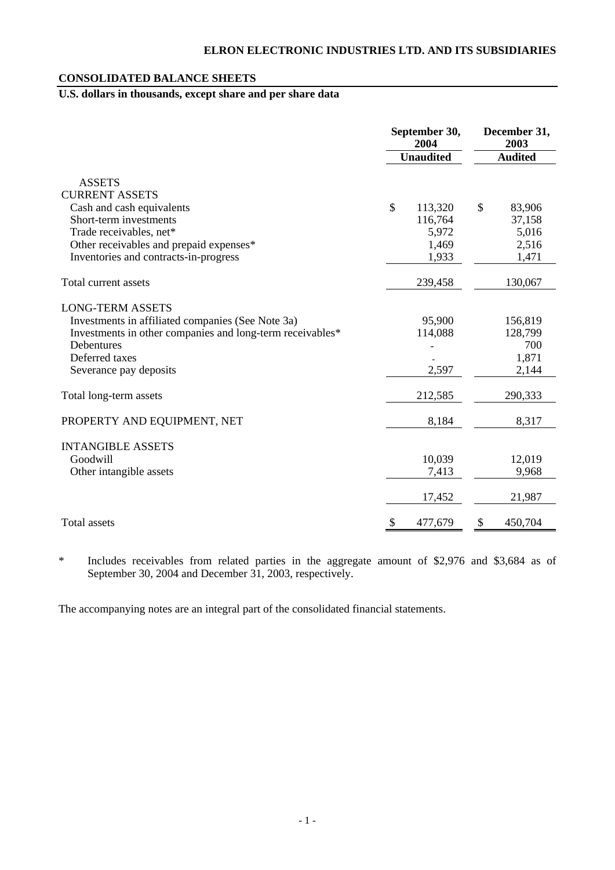# **CONSOLIDATED BALANCE SHEETS**

# **U.S. dollars in thousands, except share and per share data**

|                                                           | September 30,<br>2004    | December 31,<br>2003 |
|-----------------------------------------------------------|--------------------------|----------------------|
|                                                           | <b>Unaudited</b>         | <b>Audited</b>       |
| <b>ASSETS</b>                                             |                          |                      |
| <b>CURRENT ASSETS</b>                                     |                          |                      |
| Cash and cash equivalents                                 | $\mathcal{S}$<br>113,320 | \$<br>83,906         |
| Short-term investments                                    | 116,764                  | 37,158               |
| Trade receivables, net*                                   | 5,972                    | 5,016                |
| Other receivables and prepaid expenses*                   | 1,469                    | 2,516                |
| Inventories and contracts-in-progress                     | 1,933                    | 1,471                |
| Total current assets                                      | 239,458                  | 130,067              |
| <b>LONG-TERM ASSETS</b>                                   |                          |                      |
| Investments in affiliated companies (See Note 3a)         | 95,900                   | 156,819              |
| Investments in other companies and long-term receivables* | 114,088                  | 128,799              |
| Debentures                                                |                          | 700                  |
| Deferred taxes                                            |                          | 1,871                |
| Severance pay deposits                                    | 2,597                    | 2,144                |
| Total long-term assets                                    | 212,585                  | 290,333              |
| PROPERTY AND EQUIPMENT, NET                               | 8,184                    | 8,317                |
| <b>INTANGIBLE ASSETS</b>                                  |                          |                      |
| Goodwill                                                  | 10,039                   | 12,019               |
| Other intangible assets                                   | 7,413                    | 9,968                |
|                                                           | 17,452                   | 21,987               |
| Total assets                                              | \$<br>477,679            | 450,704<br>\$        |

\* Includes receivables from related parties in the aggregate amount of \$2,976 and \$3,684 as of September 30, 2004 and December 31, 2003, respectively.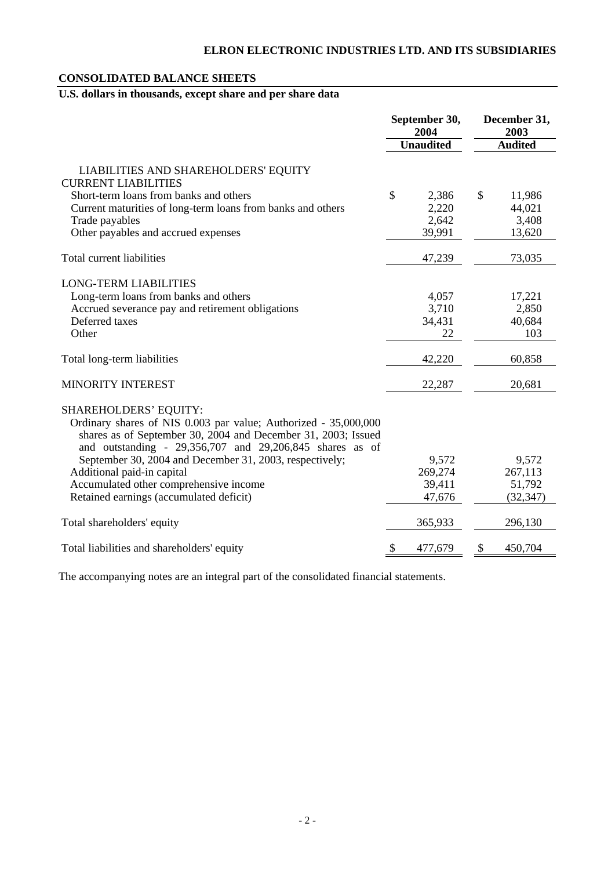# **CONSOLIDATED BALANCE SHEETS**

# **U.S. dollars in thousands, except share and per share data**

|                                                                                                                                                                                              | September 30,<br>2004 | December 31,<br>2003 |
|----------------------------------------------------------------------------------------------------------------------------------------------------------------------------------------------|-----------------------|----------------------|
|                                                                                                                                                                                              | <b>Unaudited</b>      | <b>Audited</b>       |
| LIABILITIES AND SHAREHOLDERS' EQUITY<br><b>CURRENT LIABILITIES</b>                                                                                                                           |                       |                      |
| Short-term loans from banks and others                                                                                                                                                       | \$<br>2,386           | \$<br>11,986         |
| Current maturities of long-term loans from banks and others                                                                                                                                  | 2,220                 | 44,021               |
| Trade payables                                                                                                                                                                               | 2,642                 | 3,408                |
| Other payables and accrued expenses                                                                                                                                                          | 39,991                | 13,620               |
| Total current liabilities                                                                                                                                                                    | 47,239                | 73,035               |
| <b>LONG-TERM LIABILITIES</b>                                                                                                                                                                 |                       |                      |
| Long-term loans from banks and others                                                                                                                                                        | 4,057                 | 17,221               |
| Accrued severance pay and retirement obligations                                                                                                                                             | 3,710                 | 2,850                |
| Deferred taxes                                                                                                                                                                               | 34,431                | 40,684               |
| Other                                                                                                                                                                                        | 22                    | 103                  |
| Total long-term liabilities                                                                                                                                                                  | 42,220                | 60,858               |
| MINORITY INTEREST                                                                                                                                                                            | 22,287                | 20,681               |
| <b>SHAREHOLDERS' EQUITY:</b>                                                                                                                                                                 |                       |                      |
| Ordinary shares of NIS 0.003 par value; Authorized - 35,000,000<br>shares as of September 30, 2004 and December 31, 2003; Issued<br>and outstanding - 29,356,707 and 29,206,845 shares as of |                       |                      |
| September 30, 2004 and December 31, 2003, respectively;                                                                                                                                      | 9,572                 | 9,572                |
| Additional paid-in capital                                                                                                                                                                   | 269,274               | 267,113              |
| Accumulated other comprehensive income                                                                                                                                                       | 39,411                | 51,792               |
| Retained earnings (accumulated deficit)                                                                                                                                                      | 47,676                | (32, 347)            |
| Total shareholders' equity                                                                                                                                                                   | 365,933               | 296,130              |
| Total liabilities and shareholders' equity                                                                                                                                                   | \$<br>477,679         | \$<br>450,704        |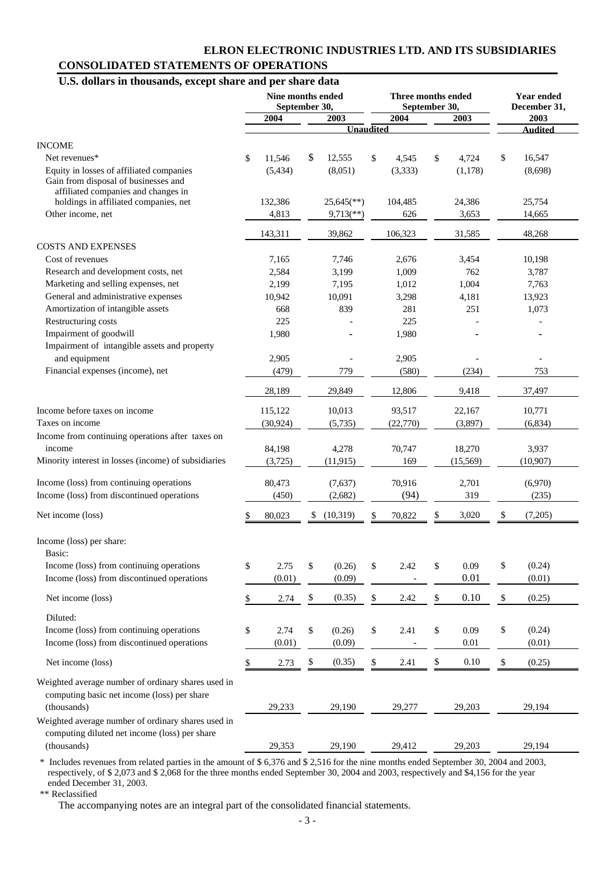# **ELRON ELECTRONIC INDUSTRIES LTD. AND ITS SUBSIDIARIES CONSOLIDATED STATEMENTS OF OPERATIONS**

# **U.S. dollars in thousands, except share and per share data**

| 2004<br>2003<br>2004<br>2003<br>2003<br><b>Unaudited</b><br><b>Andited</b><br><b>INCOME</b><br>\$<br>\$<br>\$<br>12,555<br>16,547<br>Net revenues*<br>11,546<br>\$<br>4,545<br>\$<br>4,724<br>Equity in losses of affiliated companies<br>(5,434)<br>(8,051)<br>(3,333)<br>(1,178)<br>(8,698)<br>Gain from disposal of businesses and<br>affiliated companies and changes in<br>holdings in affiliated companies, net<br>132,386<br>104,485<br>24,386<br>25,754<br>$25,645$ <sup>**</sup> )<br>Other income, net<br>4,813<br>626<br>3,653<br>14,665<br>$9,713$ <sup>**</sup> )<br>39,862<br>106,323<br>143,311<br>31,585<br>48,268<br><b>COSTS AND EXPENSES</b><br>Cost of revenues<br>7,165<br>7,746<br>2,676<br>3,454<br>10,198<br>Research and development costs, net<br>2,584<br>3,199<br>1,009<br>762<br>3,787<br>Marketing and selling expenses, net<br>1,004<br>2,199<br>7,195<br>1,012<br>7,763<br>General and administrative expenses<br>4,181<br>10,942<br>10,091<br>3,298<br>13,923<br>Amortization of intangible assets<br>668<br>281<br>251<br>839<br>1,073<br>Restructuring costs<br>225<br>225<br>Impairment of goodwill<br>1,980<br>1,980<br>Impairment of intangible assets and property<br>and equipment<br>2,905<br>2,905<br>Financial expenses (income), net<br>779<br>(479)<br>(580)<br>(234)<br>753<br>29,849<br>28,189<br>12,806<br>9,418<br>37,497<br>Income before taxes on income<br>10,013<br>115,122<br>93,517<br>22,167<br>10,771<br>Taxes on income<br>(3,897)<br>(30, 924)<br>(5,735)<br>(22, 770)<br>(6,834)<br>Income from continuing operations after taxes on<br>income<br>84,198<br>4,278<br>70,747<br>18,270<br>3,937<br>Minority interest in losses (income) of subsidiaries<br>(3,725)<br>(11, 915)<br>169<br>(15, 569)<br>(10, 907)<br>Income (loss) from continuing operations<br>70,916<br>2,701<br>80,473<br>(7,637)<br>(6,970)<br>Income (loss) from discontinued operations<br>(2,682)<br>(94)<br>319<br>(450)<br>(235)<br>Net income (loss)<br>(10,319)<br>3,020<br>(7,205)<br>80,023<br>\$<br>70,822<br>\$<br>\$<br>Income (loss) per share:<br>Basic:<br>\$<br>\$<br>\$<br>0.09<br>\$<br>(0.24)<br>Income (loss) from continuing operations<br>2.75<br>(0.26)<br>\$<br>2.42<br>0.01<br>Income (loss) from discontinued operations<br>(0.09)<br>(0.01)<br>(0.01)<br>$\$$<br>0.10<br>\$<br>(0.35)<br>\$<br>2.42<br>\$<br>\$<br>(0.25)<br>Net income (loss)<br>2.74<br>Diluted:<br>\$<br>(0.24)<br>Income (loss) from continuing operations<br>\$<br>\$<br>(0.26)<br>\$<br>\$<br>0.09<br>2.74<br>2.41<br>Income (loss) from discontinued operations<br>(0.01)<br>0.01<br>(0.01)<br>(0.09)<br>\$<br>\$<br>0.10<br>(0.35)<br>\$<br>\$<br>\$<br>(0.25)<br>Net income (loss)<br>2.73<br>2.41<br>Weighted average number of ordinary shares used in<br>computing basic net income (loss) per share<br>(thousands)<br>29,233<br>29,190<br>29,277<br>29,203<br>29,194<br>Weighted average number of ordinary shares used in<br>computing diluted net income (loss) per share<br>(thousands)<br>29,353<br>29,190<br>29,412<br>29,203<br>29,194 | Nine months ended<br>September 30, |  |  |  |  | Three months ended<br>September 30, |  | <b>Year ended</b><br>December 31, |  |  |
|-------------------------------------------------------------------------------------------------------------------------------------------------------------------------------------------------------------------------------------------------------------------------------------------------------------------------------------------------------------------------------------------------------------------------------------------------------------------------------------------------------------------------------------------------------------------------------------------------------------------------------------------------------------------------------------------------------------------------------------------------------------------------------------------------------------------------------------------------------------------------------------------------------------------------------------------------------------------------------------------------------------------------------------------------------------------------------------------------------------------------------------------------------------------------------------------------------------------------------------------------------------------------------------------------------------------------------------------------------------------------------------------------------------------------------------------------------------------------------------------------------------------------------------------------------------------------------------------------------------------------------------------------------------------------------------------------------------------------------------------------------------------------------------------------------------------------------------------------------------------------------------------------------------------------------------------------------------------------------------------------------------------------------------------------------------------------------------------------------------------------------------------------------------------------------------------------------------------------------------------------------------------------------------------------------------------------------------------------------------------------------------------------------------------------------------------------------------------------------------------------------------------------------------------------------------------------------------------------------------------------------------------------------------------------------------------------------------------------------------------------------------------------------------------------------------------------------------------------------------------------------------------------------------------------------------------------------------------------------------------------------------------------------------------------------------------------------------|------------------------------------|--|--|--|--|-------------------------------------|--|-----------------------------------|--|--|
|                                                                                                                                                                                                                                                                                                                                                                                                                                                                                                                                                                                                                                                                                                                                                                                                                                                                                                                                                                                                                                                                                                                                                                                                                                                                                                                                                                                                                                                                                                                                                                                                                                                                                                                                                                                                                                                                                                                                                                                                                                                                                                                                                                                                                                                                                                                                                                                                                                                                                                                                                                                                                                                                                                                                                                                                                                                                                                                                                                                                                                                                                     |                                    |  |  |  |  |                                     |  |                                   |  |  |
|                                                                                                                                                                                                                                                                                                                                                                                                                                                                                                                                                                                                                                                                                                                                                                                                                                                                                                                                                                                                                                                                                                                                                                                                                                                                                                                                                                                                                                                                                                                                                                                                                                                                                                                                                                                                                                                                                                                                                                                                                                                                                                                                                                                                                                                                                                                                                                                                                                                                                                                                                                                                                                                                                                                                                                                                                                                                                                                                                                                                                                                                                     |                                    |  |  |  |  |                                     |  |                                   |  |  |
|                                                                                                                                                                                                                                                                                                                                                                                                                                                                                                                                                                                                                                                                                                                                                                                                                                                                                                                                                                                                                                                                                                                                                                                                                                                                                                                                                                                                                                                                                                                                                                                                                                                                                                                                                                                                                                                                                                                                                                                                                                                                                                                                                                                                                                                                                                                                                                                                                                                                                                                                                                                                                                                                                                                                                                                                                                                                                                                                                                                                                                                                                     |                                    |  |  |  |  |                                     |  |                                   |  |  |
|                                                                                                                                                                                                                                                                                                                                                                                                                                                                                                                                                                                                                                                                                                                                                                                                                                                                                                                                                                                                                                                                                                                                                                                                                                                                                                                                                                                                                                                                                                                                                                                                                                                                                                                                                                                                                                                                                                                                                                                                                                                                                                                                                                                                                                                                                                                                                                                                                                                                                                                                                                                                                                                                                                                                                                                                                                                                                                                                                                                                                                                                                     |                                    |  |  |  |  |                                     |  |                                   |  |  |
|                                                                                                                                                                                                                                                                                                                                                                                                                                                                                                                                                                                                                                                                                                                                                                                                                                                                                                                                                                                                                                                                                                                                                                                                                                                                                                                                                                                                                                                                                                                                                                                                                                                                                                                                                                                                                                                                                                                                                                                                                                                                                                                                                                                                                                                                                                                                                                                                                                                                                                                                                                                                                                                                                                                                                                                                                                                                                                                                                                                                                                                                                     |                                    |  |  |  |  |                                     |  |                                   |  |  |
|                                                                                                                                                                                                                                                                                                                                                                                                                                                                                                                                                                                                                                                                                                                                                                                                                                                                                                                                                                                                                                                                                                                                                                                                                                                                                                                                                                                                                                                                                                                                                                                                                                                                                                                                                                                                                                                                                                                                                                                                                                                                                                                                                                                                                                                                                                                                                                                                                                                                                                                                                                                                                                                                                                                                                                                                                                                                                                                                                                                                                                                                                     |                                    |  |  |  |  |                                     |  |                                   |  |  |
|                                                                                                                                                                                                                                                                                                                                                                                                                                                                                                                                                                                                                                                                                                                                                                                                                                                                                                                                                                                                                                                                                                                                                                                                                                                                                                                                                                                                                                                                                                                                                                                                                                                                                                                                                                                                                                                                                                                                                                                                                                                                                                                                                                                                                                                                                                                                                                                                                                                                                                                                                                                                                                                                                                                                                                                                                                                                                                                                                                                                                                                                                     |                                    |  |  |  |  |                                     |  |                                   |  |  |
|                                                                                                                                                                                                                                                                                                                                                                                                                                                                                                                                                                                                                                                                                                                                                                                                                                                                                                                                                                                                                                                                                                                                                                                                                                                                                                                                                                                                                                                                                                                                                                                                                                                                                                                                                                                                                                                                                                                                                                                                                                                                                                                                                                                                                                                                                                                                                                                                                                                                                                                                                                                                                                                                                                                                                                                                                                                                                                                                                                                                                                                                                     |                                    |  |  |  |  |                                     |  |                                   |  |  |
|                                                                                                                                                                                                                                                                                                                                                                                                                                                                                                                                                                                                                                                                                                                                                                                                                                                                                                                                                                                                                                                                                                                                                                                                                                                                                                                                                                                                                                                                                                                                                                                                                                                                                                                                                                                                                                                                                                                                                                                                                                                                                                                                                                                                                                                                                                                                                                                                                                                                                                                                                                                                                                                                                                                                                                                                                                                                                                                                                                                                                                                                                     |                                    |  |  |  |  |                                     |  |                                   |  |  |
|                                                                                                                                                                                                                                                                                                                                                                                                                                                                                                                                                                                                                                                                                                                                                                                                                                                                                                                                                                                                                                                                                                                                                                                                                                                                                                                                                                                                                                                                                                                                                                                                                                                                                                                                                                                                                                                                                                                                                                                                                                                                                                                                                                                                                                                                                                                                                                                                                                                                                                                                                                                                                                                                                                                                                                                                                                                                                                                                                                                                                                                                                     |                                    |  |  |  |  |                                     |  |                                   |  |  |
|                                                                                                                                                                                                                                                                                                                                                                                                                                                                                                                                                                                                                                                                                                                                                                                                                                                                                                                                                                                                                                                                                                                                                                                                                                                                                                                                                                                                                                                                                                                                                                                                                                                                                                                                                                                                                                                                                                                                                                                                                                                                                                                                                                                                                                                                                                                                                                                                                                                                                                                                                                                                                                                                                                                                                                                                                                                                                                                                                                                                                                                                                     |                                    |  |  |  |  |                                     |  |                                   |  |  |
|                                                                                                                                                                                                                                                                                                                                                                                                                                                                                                                                                                                                                                                                                                                                                                                                                                                                                                                                                                                                                                                                                                                                                                                                                                                                                                                                                                                                                                                                                                                                                                                                                                                                                                                                                                                                                                                                                                                                                                                                                                                                                                                                                                                                                                                                                                                                                                                                                                                                                                                                                                                                                                                                                                                                                                                                                                                                                                                                                                                                                                                                                     |                                    |  |  |  |  |                                     |  |                                   |  |  |
|                                                                                                                                                                                                                                                                                                                                                                                                                                                                                                                                                                                                                                                                                                                                                                                                                                                                                                                                                                                                                                                                                                                                                                                                                                                                                                                                                                                                                                                                                                                                                                                                                                                                                                                                                                                                                                                                                                                                                                                                                                                                                                                                                                                                                                                                                                                                                                                                                                                                                                                                                                                                                                                                                                                                                                                                                                                                                                                                                                                                                                                                                     |                                    |  |  |  |  |                                     |  |                                   |  |  |
|                                                                                                                                                                                                                                                                                                                                                                                                                                                                                                                                                                                                                                                                                                                                                                                                                                                                                                                                                                                                                                                                                                                                                                                                                                                                                                                                                                                                                                                                                                                                                                                                                                                                                                                                                                                                                                                                                                                                                                                                                                                                                                                                                                                                                                                                                                                                                                                                                                                                                                                                                                                                                                                                                                                                                                                                                                                                                                                                                                                                                                                                                     |                                    |  |  |  |  |                                     |  |                                   |  |  |
|                                                                                                                                                                                                                                                                                                                                                                                                                                                                                                                                                                                                                                                                                                                                                                                                                                                                                                                                                                                                                                                                                                                                                                                                                                                                                                                                                                                                                                                                                                                                                                                                                                                                                                                                                                                                                                                                                                                                                                                                                                                                                                                                                                                                                                                                                                                                                                                                                                                                                                                                                                                                                                                                                                                                                                                                                                                                                                                                                                                                                                                                                     |                                    |  |  |  |  |                                     |  |                                   |  |  |
|                                                                                                                                                                                                                                                                                                                                                                                                                                                                                                                                                                                                                                                                                                                                                                                                                                                                                                                                                                                                                                                                                                                                                                                                                                                                                                                                                                                                                                                                                                                                                                                                                                                                                                                                                                                                                                                                                                                                                                                                                                                                                                                                                                                                                                                                                                                                                                                                                                                                                                                                                                                                                                                                                                                                                                                                                                                                                                                                                                                                                                                                                     |                                    |  |  |  |  |                                     |  |                                   |  |  |
|                                                                                                                                                                                                                                                                                                                                                                                                                                                                                                                                                                                                                                                                                                                                                                                                                                                                                                                                                                                                                                                                                                                                                                                                                                                                                                                                                                                                                                                                                                                                                                                                                                                                                                                                                                                                                                                                                                                                                                                                                                                                                                                                                                                                                                                                                                                                                                                                                                                                                                                                                                                                                                                                                                                                                                                                                                                                                                                                                                                                                                                                                     |                                    |  |  |  |  |                                     |  |                                   |  |  |
|                                                                                                                                                                                                                                                                                                                                                                                                                                                                                                                                                                                                                                                                                                                                                                                                                                                                                                                                                                                                                                                                                                                                                                                                                                                                                                                                                                                                                                                                                                                                                                                                                                                                                                                                                                                                                                                                                                                                                                                                                                                                                                                                                                                                                                                                                                                                                                                                                                                                                                                                                                                                                                                                                                                                                                                                                                                                                                                                                                                                                                                                                     |                                    |  |  |  |  |                                     |  |                                   |  |  |
|                                                                                                                                                                                                                                                                                                                                                                                                                                                                                                                                                                                                                                                                                                                                                                                                                                                                                                                                                                                                                                                                                                                                                                                                                                                                                                                                                                                                                                                                                                                                                                                                                                                                                                                                                                                                                                                                                                                                                                                                                                                                                                                                                                                                                                                                                                                                                                                                                                                                                                                                                                                                                                                                                                                                                                                                                                                                                                                                                                                                                                                                                     |                                    |  |  |  |  |                                     |  |                                   |  |  |
|                                                                                                                                                                                                                                                                                                                                                                                                                                                                                                                                                                                                                                                                                                                                                                                                                                                                                                                                                                                                                                                                                                                                                                                                                                                                                                                                                                                                                                                                                                                                                                                                                                                                                                                                                                                                                                                                                                                                                                                                                                                                                                                                                                                                                                                                                                                                                                                                                                                                                                                                                                                                                                                                                                                                                                                                                                                                                                                                                                                                                                                                                     |                                    |  |  |  |  |                                     |  |                                   |  |  |
|                                                                                                                                                                                                                                                                                                                                                                                                                                                                                                                                                                                                                                                                                                                                                                                                                                                                                                                                                                                                                                                                                                                                                                                                                                                                                                                                                                                                                                                                                                                                                                                                                                                                                                                                                                                                                                                                                                                                                                                                                                                                                                                                                                                                                                                                                                                                                                                                                                                                                                                                                                                                                                                                                                                                                                                                                                                                                                                                                                                                                                                                                     |                                    |  |  |  |  |                                     |  |                                   |  |  |
|                                                                                                                                                                                                                                                                                                                                                                                                                                                                                                                                                                                                                                                                                                                                                                                                                                                                                                                                                                                                                                                                                                                                                                                                                                                                                                                                                                                                                                                                                                                                                                                                                                                                                                                                                                                                                                                                                                                                                                                                                                                                                                                                                                                                                                                                                                                                                                                                                                                                                                                                                                                                                                                                                                                                                                                                                                                                                                                                                                                                                                                                                     |                                    |  |  |  |  |                                     |  |                                   |  |  |
|                                                                                                                                                                                                                                                                                                                                                                                                                                                                                                                                                                                                                                                                                                                                                                                                                                                                                                                                                                                                                                                                                                                                                                                                                                                                                                                                                                                                                                                                                                                                                                                                                                                                                                                                                                                                                                                                                                                                                                                                                                                                                                                                                                                                                                                                                                                                                                                                                                                                                                                                                                                                                                                                                                                                                                                                                                                                                                                                                                                                                                                                                     |                                    |  |  |  |  |                                     |  |                                   |  |  |
|                                                                                                                                                                                                                                                                                                                                                                                                                                                                                                                                                                                                                                                                                                                                                                                                                                                                                                                                                                                                                                                                                                                                                                                                                                                                                                                                                                                                                                                                                                                                                                                                                                                                                                                                                                                                                                                                                                                                                                                                                                                                                                                                                                                                                                                                                                                                                                                                                                                                                                                                                                                                                                                                                                                                                                                                                                                                                                                                                                                                                                                                                     |                                    |  |  |  |  |                                     |  |                                   |  |  |
|                                                                                                                                                                                                                                                                                                                                                                                                                                                                                                                                                                                                                                                                                                                                                                                                                                                                                                                                                                                                                                                                                                                                                                                                                                                                                                                                                                                                                                                                                                                                                                                                                                                                                                                                                                                                                                                                                                                                                                                                                                                                                                                                                                                                                                                                                                                                                                                                                                                                                                                                                                                                                                                                                                                                                                                                                                                                                                                                                                                                                                                                                     |                                    |  |  |  |  |                                     |  |                                   |  |  |
|                                                                                                                                                                                                                                                                                                                                                                                                                                                                                                                                                                                                                                                                                                                                                                                                                                                                                                                                                                                                                                                                                                                                                                                                                                                                                                                                                                                                                                                                                                                                                                                                                                                                                                                                                                                                                                                                                                                                                                                                                                                                                                                                                                                                                                                                                                                                                                                                                                                                                                                                                                                                                                                                                                                                                                                                                                                                                                                                                                                                                                                                                     |                                    |  |  |  |  |                                     |  |                                   |  |  |
|                                                                                                                                                                                                                                                                                                                                                                                                                                                                                                                                                                                                                                                                                                                                                                                                                                                                                                                                                                                                                                                                                                                                                                                                                                                                                                                                                                                                                                                                                                                                                                                                                                                                                                                                                                                                                                                                                                                                                                                                                                                                                                                                                                                                                                                                                                                                                                                                                                                                                                                                                                                                                                                                                                                                                                                                                                                                                                                                                                                                                                                                                     |                                    |  |  |  |  |                                     |  |                                   |  |  |
|                                                                                                                                                                                                                                                                                                                                                                                                                                                                                                                                                                                                                                                                                                                                                                                                                                                                                                                                                                                                                                                                                                                                                                                                                                                                                                                                                                                                                                                                                                                                                                                                                                                                                                                                                                                                                                                                                                                                                                                                                                                                                                                                                                                                                                                                                                                                                                                                                                                                                                                                                                                                                                                                                                                                                                                                                                                                                                                                                                                                                                                                                     |                                    |  |  |  |  |                                     |  |                                   |  |  |
|                                                                                                                                                                                                                                                                                                                                                                                                                                                                                                                                                                                                                                                                                                                                                                                                                                                                                                                                                                                                                                                                                                                                                                                                                                                                                                                                                                                                                                                                                                                                                                                                                                                                                                                                                                                                                                                                                                                                                                                                                                                                                                                                                                                                                                                                                                                                                                                                                                                                                                                                                                                                                                                                                                                                                                                                                                                                                                                                                                                                                                                                                     |                                    |  |  |  |  |                                     |  |                                   |  |  |
|                                                                                                                                                                                                                                                                                                                                                                                                                                                                                                                                                                                                                                                                                                                                                                                                                                                                                                                                                                                                                                                                                                                                                                                                                                                                                                                                                                                                                                                                                                                                                                                                                                                                                                                                                                                                                                                                                                                                                                                                                                                                                                                                                                                                                                                                                                                                                                                                                                                                                                                                                                                                                                                                                                                                                                                                                                                                                                                                                                                                                                                                                     |                                    |  |  |  |  |                                     |  |                                   |  |  |
|                                                                                                                                                                                                                                                                                                                                                                                                                                                                                                                                                                                                                                                                                                                                                                                                                                                                                                                                                                                                                                                                                                                                                                                                                                                                                                                                                                                                                                                                                                                                                                                                                                                                                                                                                                                                                                                                                                                                                                                                                                                                                                                                                                                                                                                                                                                                                                                                                                                                                                                                                                                                                                                                                                                                                                                                                                                                                                                                                                                                                                                                                     |                                    |  |  |  |  |                                     |  |                                   |  |  |
|                                                                                                                                                                                                                                                                                                                                                                                                                                                                                                                                                                                                                                                                                                                                                                                                                                                                                                                                                                                                                                                                                                                                                                                                                                                                                                                                                                                                                                                                                                                                                                                                                                                                                                                                                                                                                                                                                                                                                                                                                                                                                                                                                                                                                                                                                                                                                                                                                                                                                                                                                                                                                                                                                                                                                                                                                                                                                                                                                                                                                                                                                     |                                    |  |  |  |  |                                     |  |                                   |  |  |
|                                                                                                                                                                                                                                                                                                                                                                                                                                                                                                                                                                                                                                                                                                                                                                                                                                                                                                                                                                                                                                                                                                                                                                                                                                                                                                                                                                                                                                                                                                                                                                                                                                                                                                                                                                                                                                                                                                                                                                                                                                                                                                                                                                                                                                                                                                                                                                                                                                                                                                                                                                                                                                                                                                                                                                                                                                                                                                                                                                                                                                                                                     |                                    |  |  |  |  |                                     |  |                                   |  |  |
|                                                                                                                                                                                                                                                                                                                                                                                                                                                                                                                                                                                                                                                                                                                                                                                                                                                                                                                                                                                                                                                                                                                                                                                                                                                                                                                                                                                                                                                                                                                                                                                                                                                                                                                                                                                                                                                                                                                                                                                                                                                                                                                                                                                                                                                                                                                                                                                                                                                                                                                                                                                                                                                                                                                                                                                                                                                                                                                                                                                                                                                                                     |                                    |  |  |  |  |                                     |  |                                   |  |  |
|                                                                                                                                                                                                                                                                                                                                                                                                                                                                                                                                                                                                                                                                                                                                                                                                                                                                                                                                                                                                                                                                                                                                                                                                                                                                                                                                                                                                                                                                                                                                                                                                                                                                                                                                                                                                                                                                                                                                                                                                                                                                                                                                                                                                                                                                                                                                                                                                                                                                                                                                                                                                                                                                                                                                                                                                                                                                                                                                                                                                                                                                                     |                                    |  |  |  |  |                                     |  |                                   |  |  |
|                                                                                                                                                                                                                                                                                                                                                                                                                                                                                                                                                                                                                                                                                                                                                                                                                                                                                                                                                                                                                                                                                                                                                                                                                                                                                                                                                                                                                                                                                                                                                                                                                                                                                                                                                                                                                                                                                                                                                                                                                                                                                                                                                                                                                                                                                                                                                                                                                                                                                                                                                                                                                                                                                                                                                                                                                                                                                                                                                                                                                                                                                     |                                    |  |  |  |  |                                     |  |                                   |  |  |
|                                                                                                                                                                                                                                                                                                                                                                                                                                                                                                                                                                                                                                                                                                                                                                                                                                                                                                                                                                                                                                                                                                                                                                                                                                                                                                                                                                                                                                                                                                                                                                                                                                                                                                                                                                                                                                                                                                                                                                                                                                                                                                                                                                                                                                                                                                                                                                                                                                                                                                                                                                                                                                                                                                                                                                                                                                                                                                                                                                                                                                                                                     |                                    |  |  |  |  |                                     |  |                                   |  |  |
|                                                                                                                                                                                                                                                                                                                                                                                                                                                                                                                                                                                                                                                                                                                                                                                                                                                                                                                                                                                                                                                                                                                                                                                                                                                                                                                                                                                                                                                                                                                                                                                                                                                                                                                                                                                                                                                                                                                                                                                                                                                                                                                                                                                                                                                                                                                                                                                                                                                                                                                                                                                                                                                                                                                                                                                                                                                                                                                                                                                                                                                                                     |                                    |  |  |  |  |                                     |  |                                   |  |  |
|                                                                                                                                                                                                                                                                                                                                                                                                                                                                                                                                                                                                                                                                                                                                                                                                                                                                                                                                                                                                                                                                                                                                                                                                                                                                                                                                                                                                                                                                                                                                                                                                                                                                                                                                                                                                                                                                                                                                                                                                                                                                                                                                                                                                                                                                                                                                                                                                                                                                                                                                                                                                                                                                                                                                                                                                                                                                                                                                                                                                                                                                                     |                                    |  |  |  |  |                                     |  |                                   |  |  |
|                                                                                                                                                                                                                                                                                                                                                                                                                                                                                                                                                                                                                                                                                                                                                                                                                                                                                                                                                                                                                                                                                                                                                                                                                                                                                                                                                                                                                                                                                                                                                                                                                                                                                                                                                                                                                                                                                                                                                                                                                                                                                                                                                                                                                                                                                                                                                                                                                                                                                                                                                                                                                                                                                                                                                                                                                                                                                                                                                                                                                                                                                     |                                    |  |  |  |  |                                     |  |                                   |  |  |
|                                                                                                                                                                                                                                                                                                                                                                                                                                                                                                                                                                                                                                                                                                                                                                                                                                                                                                                                                                                                                                                                                                                                                                                                                                                                                                                                                                                                                                                                                                                                                                                                                                                                                                                                                                                                                                                                                                                                                                                                                                                                                                                                                                                                                                                                                                                                                                                                                                                                                                                                                                                                                                                                                                                                                                                                                                                                                                                                                                                                                                                                                     |                                    |  |  |  |  |                                     |  |                                   |  |  |
|                                                                                                                                                                                                                                                                                                                                                                                                                                                                                                                                                                                                                                                                                                                                                                                                                                                                                                                                                                                                                                                                                                                                                                                                                                                                                                                                                                                                                                                                                                                                                                                                                                                                                                                                                                                                                                                                                                                                                                                                                                                                                                                                                                                                                                                                                                                                                                                                                                                                                                                                                                                                                                                                                                                                                                                                                                                                                                                                                                                                                                                                                     |                                    |  |  |  |  |                                     |  |                                   |  |  |
|                                                                                                                                                                                                                                                                                                                                                                                                                                                                                                                                                                                                                                                                                                                                                                                                                                                                                                                                                                                                                                                                                                                                                                                                                                                                                                                                                                                                                                                                                                                                                                                                                                                                                                                                                                                                                                                                                                                                                                                                                                                                                                                                                                                                                                                                                                                                                                                                                                                                                                                                                                                                                                                                                                                                                                                                                                                                                                                                                                                                                                                                                     |                                    |  |  |  |  |                                     |  |                                   |  |  |
|                                                                                                                                                                                                                                                                                                                                                                                                                                                                                                                                                                                                                                                                                                                                                                                                                                                                                                                                                                                                                                                                                                                                                                                                                                                                                                                                                                                                                                                                                                                                                                                                                                                                                                                                                                                                                                                                                                                                                                                                                                                                                                                                                                                                                                                                                                                                                                                                                                                                                                                                                                                                                                                                                                                                                                                                                                                                                                                                                                                                                                                                                     |                                    |  |  |  |  |                                     |  |                                   |  |  |

 \* Includes revenues from related parties in the amount of \$ 6,376 and \$ 2,516 for the nine months ended September 30, 2004 and 2003, respectively, of \$ 2,073 and \$ 2,068 for the three months ended September 30, 2004 and 2003, respectively and \$4,156 for the year ended December 31, 2003.

\*\* Reclassified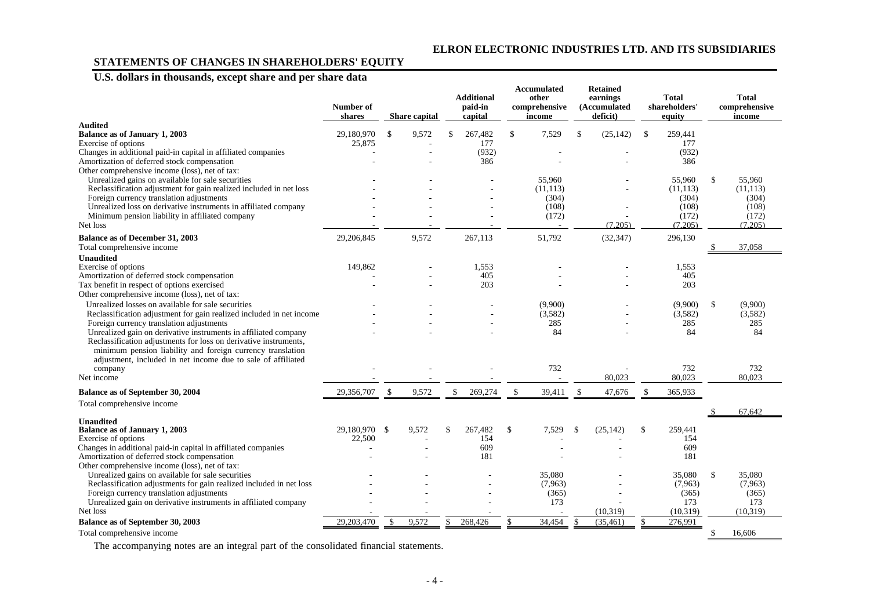# **STATEMENTS OF CHANGES IN SHAREHOLDERS' EQUITY**

# **U.S. dollars in thousands, except share and per share data**

|                                                                                                                            | Number of<br>shares |               | <b>Share capital</b> |     | <b>Additional</b><br>paid-in<br>capital |               | Accumulated<br>other<br>comprehensive<br>income |               | <b>Retained</b><br>earnings<br>(Accumulated<br>deficit) |               | <b>Total</b><br>shareholders'<br>equity |               | <b>Total</b><br>comprehensive<br>income |
|----------------------------------------------------------------------------------------------------------------------------|---------------------|---------------|----------------------|-----|-----------------------------------------|---------------|-------------------------------------------------|---------------|---------------------------------------------------------|---------------|-----------------------------------------|---------------|-----------------------------------------|
| <b>Audited</b><br><b>Balance as of January 1, 2003</b>                                                                     | 29,180,970          | £.            | 9,572                | \$. | 267,482                                 | \$            | 7,529                                           | <sup>\$</sup> | (25, 142)                                               | $\mathbb{S}$  | 259.441                                 |               |                                         |
| Exercise of options                                                                                                        | 25,875              |               |                      |     | 177                                     |               |                                                 |               |                                                         |               | 177                                     |               |                                         |
| Changes in additional paid-in capital in affiliated companies                                                              |                     |               |                      |     | (932)                                   |               |                                                 |               |                                                         |               | (932)                                   |               |                                         |
| Amortization of deferred stock compensation                                                                                |                     |               |                      |     | 386                                     |               |                                                 |               |                                                         |               | 386                                     |               |                                         |
| Other comprehensive income (loss), net of tax:                                                                             |                     |               |                      |     |                                         |               |                                                 |               |                                                         |               |                                         |               |                                         |
| Unrealized gains on available for sale securities                                                                          |                     |               |                      |     |                                         |               | 55,960                                          |               |                                                         |               | 55,960                                  | <sup>\$</sup> | 55,960                                  |
| Reclassification adjustment for gain realized included in net loss                                                         |                     |               |                      |     |                                         |               | (11, 113)<br>(304)                              |               |                                                         |               | (11, 113)                               |               | (11, 113)<br>(304)                      |
| Foreign currency translation adjustments<br>Unrealized loss on derivative instruments in affiliated company                |                     |               |                      |     |                                         |               | (108)                                           |               |                                                         |               | (304)<br>(108)                          |               | (108)                                   |
| Minimum pension liability in affiliated company                                                                            |                     |               |                      |     |                                         |               | (172)                                           |               |                                                         |               | (172)                                   |               | (172)                                   |
| Net loss                                                                                                                   |                     |               |                      |     |                                         |               |                                                 |               | (7.205)                                                 |               | (7.205)                                 |               | (7.205)                                 |
| Balance as of December 31, 2003                                                                                            | 29,206,845          |               | 9,572                |     | 267,113                                 |               | 51,792                                          |               | (32, 347)                                               |               | 296,130                                 |               |                                         |
| Total comprehensive income                                                                                                 |                     |               |                      |     |                                         |               |                                                 |               |                                                         |               |                                         |               | 37,058                                  |
| <b>Unaudited</b>                                                                                                           |                     |               |                      |     |                                         |               |                                                 |               |                                                         |               |                                         |               |                                         |
| Exercise of options                                                                                                        | 149,862             |               |                      |     | 1,553                                   |               |                                                 |               |                                                         |               | 1,553                                   |               |                                         |
| Amortization of deferred stock compensation                                                                                |                     |               |                      |     | 405                                     |               |                                                 |               |                                                         |               | 405                                     |               |                                         |
| Tax benefit in respect of options exercised                                                                                |                     |               |                      |     | 203                                     |               |                                                 |               |                                                         |               | 203                                     |               |                                         |
| Other comprehensive income (loss), net of tax:                                                                             |                     |               |                      |     |                                         |               |                                                 |               |                                                         |               |                                         |               |                                         |
| Unrealized losses on available for sale securities                                                                         |                     |               |                      |     |                                         |               | (9,900)                                         |               |                                                         |               | (9,900)                                 | \$            | (9,900)                                 |
| Reclassification adjustment for gain realized included in net income                                                       |                     |               |                      |     |                                         |               | (3,582)                                         |               |                                                         |               | (3,582)                                 |               | (3,582)                                 |
| Foreign currency translation adjustments                                                                                   |                     |               |                      |     |                                         |               | 285                                             |               |                                                         |               | 285                                     |               | 285                                     |
| Unrealized gain on derivative instruments in affiliated company                                                            |                     |               |                      |     |                                         |               | 84                                              |               |                                                         |               | 84                                      |               | 84                                      |
| Reclassification adjustments for loss on derivative instruments,                                                           |                     |               |                      |     |                                         |               |                                                 |               |                                                         |               |                                         |               |                                         |
| minimum pension liability and foreign currency translation<br>adjustment, included in net income due to sale of affiliated |                     |               |                      |     |                                         |               |                                                 |               |                                                         |               |                                         |               |                                         |
| company                                                                                                                    |                     |               |                      |     |                                         |               | 732                                             |               |                                                         |               | 732                                     |               | 732                                     |
| Net income                                                                                                                 |                     |               |                      |     |                                         |               |                                                 |               | 80,023                                                  |               | 80,023                                  |               | 80.023                                  |
|                                                                                                                            |                     |               |                      |     |                                         |               |                                                 |               |                                                         |               |                                         |               |                                         |
| Balance as of September 30, 2004<br>Total comprehensive income                                                             | 29,356,707          | <sup>\$</sup> | 9,572                | \$  | 269,274                                 | \$            | 39,411                                          | $\mathcal{S}$ | 47,676                                                  |               | 365,933                                 |               |                                         |
|                                                                                                                            |                     |               |                      |     |                                         |               |                                                 |               |                                                         |               |                                         |               | 67.642                                  |
| <b>Unaudited</b><br><b>Balance as of January 1, 2003</b>                                                                   | 29,180,970 \$       |               | 9,572                | \$  | 267,482                                 | $\mathcal{S}$ | 7,529                                           | <sup>\$</sup> | (25, 142)                                               | <sup>\$</sup> | 259,441                                 |               |                                         |
| Exercise of options                                                                                                        | 22,500              |               |                      |     | 154                                     |               |                                                 |               |                                                         |               | 154                                     |               |                                         |
| Changes in additional paid-in capital in affiliated companies                                                              |                     |               |                      |     | 609                                     |               |                                                 |               |                                                         |               | 609                                     |               |                                         |
| Amortization of deferred stock compensation                                                                                |                     |               |                      |     | 181                                     |               |                                                 |               |                                                         |               | 181                                     |               |                                         |
| Other comprehensive income (loss), net of tax:                                                                             |                     |               |                      |     |                                         |               |                                                 |               |                                                         |               |                                         |               |                                         |
| Unrealized gains on available for sale securities                                                                          |                     |               |                      |     |                                         |               | 35,080                                          |               |                                                         |               | 35,080                                  | $\mathbb{S}$  | 35,080                                  |
| Reclassification adjustments for gain realized included in net loss                                                        |                     |               |                      |     |                                         |               | (7.963)                                         |               |                                                         |               | (7,963)                                 |               | (7,963)                                 |
| Foreign currency translation adjustments                                                                                   |                     |               |                      |     |                                         |               | (365)                                           |               |                                                         |               | (365)                                   |               | (365)                                   |
| Unrealized gain on derivative instruments in affiliated company                                                            |                     |               |                      |     |                                         |               | 173                                             |               |                                                         |               | 173                                     |               | 173                                     |
| Net loss                                                                                                                   |                     |               |                      |     |                                         |               |                                                 |               | (10,319)                                                |               | (10,319)                                |               | (10, 319)                               |
| Balance as of September 30, 2003                                                                                           | 29,203,470          | $\mathbb{S}$  | 9,572                | S   | 268,426                                 | \$            | 34,454                                          | \$            | (35, 461)                                               | \$            | 276,991                                 |               |                                         |
| Total comprehensive income                                                                                                 |                     |               |                      |     |                                         |               |                                                 |               |                                                         |               |                                         |               | 16,606                                  |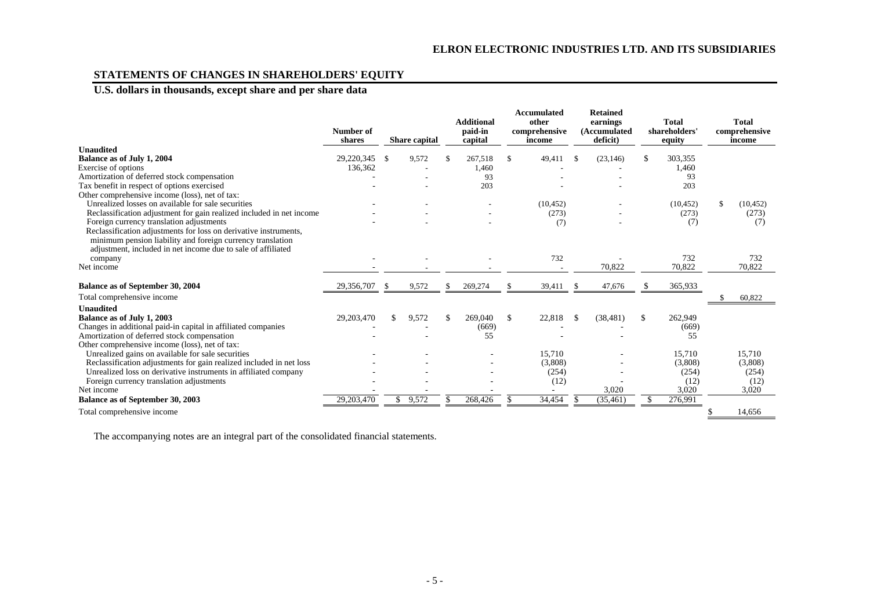# **STATEMENTS OF CHANGES IN SHAREHOLDERS' EQUITY**

# **U.S. dollars in thousands, except share and per share data**

|                                                                      | Number of<br>shares | <b>Share capital</b> |          | <b>Additional</b><br>paid-in<br>capital |                    | <b>Accumulated</b><br>other<br>comprehensive<br>income |     | <b>Retained</b><br>earnings<br>(Accumulated<br>deficit) |               | <b>Total</b><br>shareholders'<br>equity | <b>Total</b><br>comprehensive<br>income |
|----------------------------------------------------------------------|---------------------|----------------------|----------|-----------------------------------------|--------------------|--------------------------------------------------------|-----|---------------------------------------------------------|---------------|-----------------------------------------|-----------------------------------------|
| <b>Unaudited</b>                                                     |                     |                      |          |                                         |                    |                                                        |     |                                                         |               |                                         |                                         |
| Balance as of July 1, 2004                                           | 29,220,345          | \$<br>9,572          | -S       | 267,518                                 | <sup>\$</sup>      | 49,411                                                 | \$  | (23, 146)                                               | \$            | 303,355                                 |                                         |
| Exercise of options                                                  | 136,362             |                      |          | 1,460                                   |                    |                                                        |     |                                                         |               | 1,460                                   |                                         |
| Amortization of deferred stock compensation                          |                     |                      |          | 93                                      |                    |                                                        |     |                                                         |               | 93                                      |                                         |
| Tax benefit in respect of options exercised                          |                     |                      |          | 203                                     |                    |                                                        |     |                                                         |               | 203                                     |                                         |
| Other comprehensive income (loss), net of tax:                       |                     |                      |          |                                         |                    |                                                        |     |                                                         |               |                                         |                                         |
| Unrealized losses on available for sale securities                   |                     |                      |          |                                         |                    | (10, 452)                                              |     |                                                         |               | (10, 452)                               | (10, 452)                               |
| Reclassification adjustment for gain realized included in net income |                     |                      |          |                                         |                    | (273)                                                  |     |                                                         |               | (273)                                   | (273)                                   |
| Foreign currency translation adjustments                             |                     |                      |          |                                         |                    | (7)                                                    |     |                                                         |               | (7)                                     | (7)                                     |
| Reclassification adjustments for loss on derivative instruments,     |                     |                      |          |                                         |                    |                                                        |     |                                                         |               |                                         |                                         |
| minimum pension liability and foreign currency translation           |                     |                      |          |                                         |                    |                                                        |     |                                                         |               |                                         |                                         |
| adjustment, included in net income due to sale of affiliated         |                     |                      |          |                                         |                    |                                                        |     |                                                         |               |                                         |                                         |
| company                                                              |                     |                      |          |                                         |                    | 732                                                    |     |                                                         |               | 732                                     | 732                                     |
| Net income                                                           |                     |                      |          |                                         |                    |                                                        |     | 70,822                                                  |               | 70,822                                  | 70,822                                  |
| Balance as of September 30, 2004                                     | 29,356,707          | \$<br>9,572          | <b>S</b> | 269,274                                 |                    | 39,411                                                 | \$. | 47,676                                                  |               | 365,933                                 |                                         |
| Total comprehensive income                                           |                     |                      |          |                                         |                    |                                                        |     |                                                         |               |                                         | 60,822                                  |
| <b>Unaudited</b>                                                     |                     |                      |          |                                         |                    |                                                        |     |                                                         |               |                                         |                                         |
| Balance as of July 1, 2003                                           | 29,203,470          | 9,572                |          | 269,040                                 | $\mathbf{\hat{s}}$ | 22,818                                                 | \$  | (38, 481)                                               | <sup>\$</sup> | 262,949                                 |                                         |
| Changes in additional paid-in capital in affiliated companies        |                     |                      |          | (669)                                   |                    |                                                        |     |                                                         |               | (669)                                   |                                         |
| Amortization of deferred stock compensation                          |                     |                      |          | 55                                      |                    |                                                        |     |                                                         |               | 55                                      |                                         |
| Other comprehensive income (loss), net of tax:                       |                     |                      |          |                                         |                    |                                                        |     |                                                         |               |                                         |                                         |
| Unrealized gains on available for sale securities                    |                     |                      |          |                                         |                    | 15.710                                                 |     |                                                         |               | 15,710                                  | 15.710                                  |
| Reclassification adjustments for gain realized included in net loss  |                     |                      |          |                                         |                    | (3,808)                                                |     |                                                         |               | (3,808)                                 | (3,808)                                 |
| Unrealized loss on derivative instruments in affiliated company      |                     |                      |          |                                         |                    | (254)                                                  |     |                                                         |               | (254)                                   | (254)                                   |
| Foreign currency translation adjustments                             |                     |                      |          |                                         |                    | (12)                                                   |     |                                                         |               | (12)                                    | (12)                                    |
| Net income                                                           |                     |                      |          |                                         |                    |                                                        |     | 3,020                                                   |               | 3,020                                   | 3,020                                   |
| Balance as of September 30, 2003                                     | 29,203,470          | 9,572                |          | 268,426                                 |                    | 34,454                                                 |     | (35, 461)                                               |               | 276,991                                 |                                         |
| Total comprehensive income                                           |                     |                      |          |                                         |                    |                                                        |     |                                                         |               |                                         | 14.656                                  |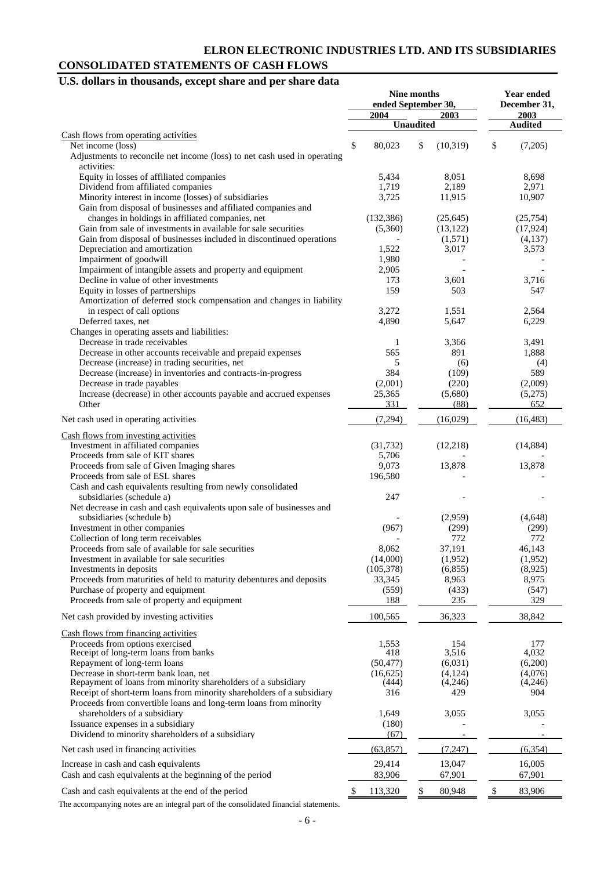# **ELRON ELECTRONIC INDUSTRIES LTD. AND ITS SUBSIDIARIES CONSOLIDATED STATEMENTS OF CASH FLOWS**

# **U.S. dollars in thousands, except share and per share data**

|                                                                                                       |    | Nine months<br>ended September 30, |                  |                  | Year ended<br>December 31, |                  |  |
|-------------------------------------------------------------------------------------------------------|----|------------------------------------|------------------|------------------|----------------------------|------------------|--|
|                                                                                                       |    | 2004                               | <b>Unaudited</b> | 2003             |                            | 2003             |  |
| Cash flows from operating activities                                                                  |    |                                    |                  |                  |                            | <b>Audited</b>   |  |
| Net income (loss)                                                                                     | \$ | 80,023                             | \$               | (10, 319)        | \$                         | (7,205)          |  |
| Adjustments to reconcile net income (loss) to net cash used in operating                              |    |                                    |                  |                  |                            |                  |  |
| activities:                                                                                           |    |                                    |                  |                  |                            |                  |  |
| Equity in losses of affiliated companies                                                              |    | 5,434                              |                  | 8,051            |                            | 8,698            |  |
| Dividend from affiliated companies                                                                    |    | 1,719                              |                  | 2,189            |                            | 2,971            |  |
| Minority interest in income (losses) of subsidiaries                                                  |    | 3,725                              |                  | 11,915           |                            | 10,907           |  |
| Gain from disposal of businesses and affiliated companies and                                         |    |                                    |                  |                  |                            |                  |  |
| changes in holdings in affiliated companies, net                                                      |    | (132, 386)                         |                  | (25, 645)        |                            | (25,754)         |  |
| Gain from sale of investments in available for sale securities                                        |    | (5,360)                            |                  | (13, 122)        |                            | (17, 924)        |  |
| Gain from disposal of businesses included in discontinued operations<br>Depreciation and amortization |    | 1,522                              |                  | (1,571)<br>3,017 |                            | (4,137)<br>3,573 |  |
| Impairment of goodwill                                                                                |    | 1,980                              |                  |                  |                            |                  |  |
| Impairment of intangible assets and property and equipment                                            |    | 2,905                              |                  |                  |                            |                  |  |
| Decline in value of other investments                                                                 |    | 173                                |                  | 3,601            |                            | 3,716            |  |
| Equity in losses of partnerships                                                                      |    | 159                                |                  | 503              |                            | 547              |  |
| Amortization of deferred stock compensation and changes in liability                                  |    |                                    |                  |                  |                            |                  |  |
| in respect of call options                                                                            |    | 3,272                              |                  | 1,551            |                            | 2,564            |  |
| Deferred taxes, net                                                                                   |    | 4,890                              |                  | 5,647            |                            | 6,229            |  |
| Changes in operating assets and liabilities:                                                          |    |                                    |                  |                  |                            |                  |  |
| Decrease in trade receivables                                                                         |    | 1                                  |                  | 3,366            |                            | 3,491            |  |
| Decrease in other accounts receivable and prepaid expenses                                            |    | 565                                |                  | 891              |                            | 1,888            |  |
| Decrease (increase) in trading securities, net                                                        |    | 5                                  |                  | (6)              |                            | (4)              |  |
| Decrease (increase) in inventories and contracts-in-progress                                          |    | 384                                |                  | (109)            |                            | 589              |  |
| Decrease in trade payables                                                                            |    | (2,001)                            |                  | (220)            |                            | (2,009)          |  |
| Increase (decrease) in other accounts payable and accrued expenses                                    |    | 25,365                             |                  | (5,680)          |                            | (5,275)          |  |
| Other                                                                                                 |    | 331                                |                  | (88)             |                            | 652              |  |
| Net cash used in operating activities                                                                 |    | (7,294)                            |                  | (16,029)         |                            | (16, 483)        |  |
| Cash flows from investing activities                                                                  |    |                                    |                  |                  |                            |                  |  |
| Investment in affiliated companies                                                                    |    | (31, 732)                          |                  | (12, 218)        |                            | (14, 884)        |  |
| Proceeds from sale of KIT shares                                                                      |    | 5,706                              |                  |                  |                            |                  |  |
| Proceeds from sale of Given Imaging shares                                                            |    | 9,073                              |                  | 13,878           |                            | 13,878           |  |
| Proceeds from sale of ESL shares                                                                      |    | 196,580                            |                  |                  |                            |                  |  |
| Cash and cash equivalents resulting from newly consolidated                                           |    |                                    |                  |                  |                            |                  |  |
| subsidiaries (schedule a)                                                                             |    | 247                                |                  |                  |                            |                  |  |
| Net decrease in cash and cash equivalents upon sale of businesses and                                 |    |                                    |                  |                  |                            |                  |  |
| subsidiaries (schedule b)<br>Investment in other companies                                            |    | (967)                              |                  | (2,959)          |                            | (4,648)          |  |
| Collection of long term receivables                                                                   |    |                                    |                  | (299)<br>772     |                            | (299)<br>772     |  |
| Proceeds from sale of available for sale securities                                                   |    | 8,062                              |                  | 37,191           |                            | 46,143           |  |
| Investment in available for sale securities                                                           |    | (14,000)                           |                  | (1,952)          |                            | (1,952)          |  |
| Investments in deposits                                                                               |    | (105, 378)                         |                  | (6,855)          |                            | (8,925)          |  |
| Proceeds from maturities of held to maturity debentures and deposits                                  |    | 33,345                             |                  | 8,963            |                            | 8,975            |  |
| Purchase of property and equipment                                                                    |    | (559)                              |                  | (433)            |                            | (547)            |  |
| Proceeds from sale of property and equipment                                                          |    | 188                                |                  | 235              |                            | 329              |  |
| Net cash provided by investing activities                                                             |    | 100,565                            |                  | 36,323           |                            | 38,842           |  |
| Cash flows from financing activities                                                                  |    |                                    |                  |                  |                            |                  |  |
| Proceeds from options exercised                                                                       |    | 1,553                              |                  | 154              |                            | 177              |  |
| Receipt of long-term loans from banks                                                                 |    | 418                                |                  | 3,516            |                            | 4,032            |  |
| Repayment of long-term loans                                                                          |    | (50, 477)                          |                  | (6,031)          |                            | (6,200)          |  |
| Decrease in short-term bank loan, net                                                                 |    | (16, 625)                          |                  | (4, 124)         |                            | (4,076)          |  |
| Repayment of loans from minority shareholders of a subsidiary                                         |    | (444)                              |                  | (4,246)          |                            | (4,246)          |  |
| Receipt of short-term loans from minority shareholders of a subsidiary                                |    | 316                                |                  | 429              |                            | 904              |  |
| Proceeds from convertible loans and long-term loans from minority                                     |    |                                    |                  |                  |                            |                  |  |
| shareholders of a subsidiary                                                                          |    | 1,649                              |                  | 3,055            |                            | 3,055            |  |
| Issuance expenses in a subsidiary                                                                     |    | (180)                              |                  |                  |                            |                  |  |
| Dividend to minority shareholders of a subsidiary                                                     |    | (67)                               |                  |                  |                            |                  |  |
| Net cash used in financing activities                                                                 |    | (63, 857)                          |                  | (7, 247)         |                            | (6, 354)         |  |
| Increase in cash and cash equivalents                                                                 |    | 29,414                             |                  | 13,047           |                            | 16,005           |  |
| Cash and cash equivalents at the beginning of the period                                              |    | 83,906                             |                  | 67,901           |                            | 67,901           |  |
| Cash and cash equivalents at the end of the period                                                    | S  | 113,320                            | \$               | 80,948           | \$                         | 83,906           |  |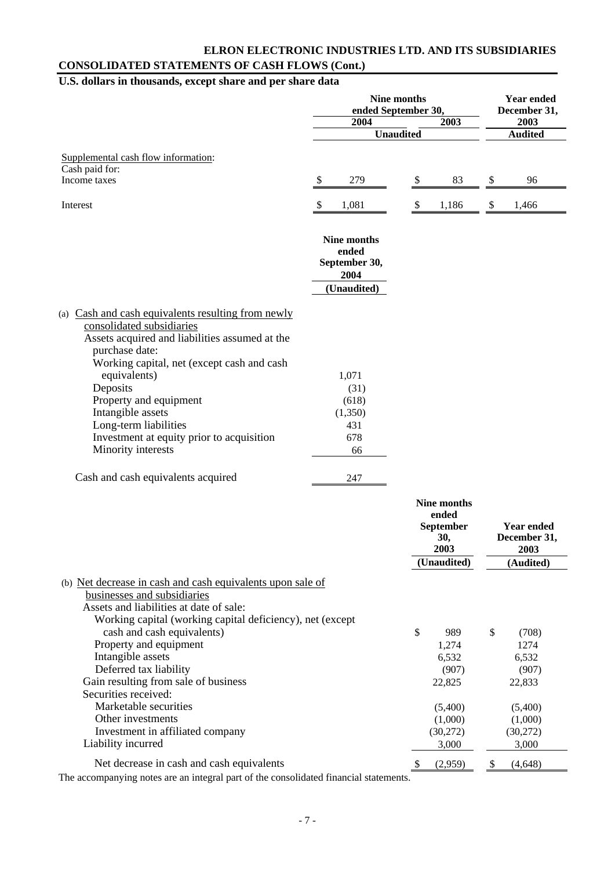# **ELRON ELECTRONIC INDUSTRIES LTD. AND ITS SUBSIDIARIES CONSOLIDATED STATEMENTS OF CASH FLOWS (Cont.)**

# **U.S. dollars in thousands, except share and per share data**

|                                                                                                                                                                                                                                                                                                                                                                          | <b>Nine months</b><br>ended September 30,             |                                                  | <b>Year ended</b><br>December 31,         |
|--------------------------------------------------------------------------------------------------------------------------------------------------------------------------------------------------------------------------------------------------------------------------------------------------------------------------------------------------------------------------|-------------------------------------------------------|--------------------------------------------------|-------------------------------------------|
|                                                                                                                                                                                                                                                                                                                                                                          | 2004                                                  | 2003                                             | 2003                                      |
|                                                                                                                                                                                                                                                                                                                                                                          | <b>Unaudited</b>                                      |                                                  | <b>Audited</b>                            |
| Supplemental cash flow information:<br>Cash paid for:                                                                                                                                                                                                                                                                                                                    |                                                       |                                                  |                                           |
| Income taxes                                                                                                                                                                                                                                                                                                                                                             | \$<br>279                                             | 83<br>\$                                         | 96<br>\$                                  |
|                                                                                                                                                                                                                                                                                                                                                                          |                                                       |                                                  |                                           |
| Interest                                                                                                                                                                                                                                                                                                                                                                 | \$<br>1,081                                           | 1,186<br>\$                                      | 1,466<br>\$                               |
|                                                                                                                                                                                                                                                                                                                                                                          | Nine months<br>ended<br>September 30,<br>2004         |                                                  |                                           |
|                                                                                                                                                                                                                                                                                                                                                                          | (Unaudited)                                           |                                                  |                                           |
| (a) Cash and cash equivalents resulting from newly<br>consolidated subsidiaries<br>Assets acquired and liabilities assumed at the<br>purchase date:<br>Working capital, net (except cash and cash<br>equivalents)<br>Deposits<br>Property and equipment<br>Intangible assets<br>Long-term liabilities<br>Investment at equity prior to acquisition<br>Minority interests | 1,071<br>(31)<br>(618)<br>(1,350)<br>431<br>678<br>66 |                                                  |                                           |
| Cash and cash equivalents acquired                                                                                                                                                                                                                                                                                                                                       | 247                                                   |                                                  |                                           |
|                                                                                                                                                                                                                                                                                                                                                                          |                                                       | Nine months<br>ended<br>September<br>30,<br>2003 | <b>Year ended</b><br>December 31,<br>2003 |
|                                                                                                                                                                                                                                                                                                                                                                          |                                                       | (Unaudited)                                      | (Audited)                                 |
| (b) Net decrease in cash and cash equivalents upon sale of<br>businesses and subsidiaries<br>Assets and liabilities at date of sale:<br>Working capital (working capital deficiency), net (except<br>cash and cash equivalents)                                                                                                                                          |                                                       | \$                                               | \$                                        |
| Property and equipment                                                                                                                                                                                                                                                                                                                                                   |                                                       | 989<br>1,274                                     | (708)<br>1274                             |
| Intangible assets                                                                                                                                                                                                                                                                                                                                                        |                                                       | 6,532                                            | 6,532                                     |
| Deferred tax liability                                                                                                                                                                                                                                                                                                                                                   |                                                       | (907)                                            | (907)                                     |
| Gain resulting from sale of business<br>Securities received:                                                                                                                                                                                                                                                                                                             |                                                       | 22,825                                           | 22,833                                    |
| Marketable securities                                                                                                                                                                                                                                                                                                                                                    |                                                       | (5,400)                                          | (5,400)                                   |
| Other investments                                                                                                                                                                                                                                                                                                                                                        |                                                       | (1,000)                                          | (1,000)                                   |
| Investment in affiliated company<br>Liability incurred                                                                                                                                                                                                                                                                                                                   |                                                       | (30,272)<br>3,000                                | (30,272)<br>3,000                         |
| Net decrease in cash and cash equivalents<br>The accompanying notes are an integral part of the consolidated financial statements                                                                                                                                                                                                                                        |                                                       | (2,959)<br>-S                                    | (4,648)<br>$\boldsymbol{\mathsf{S}}$      |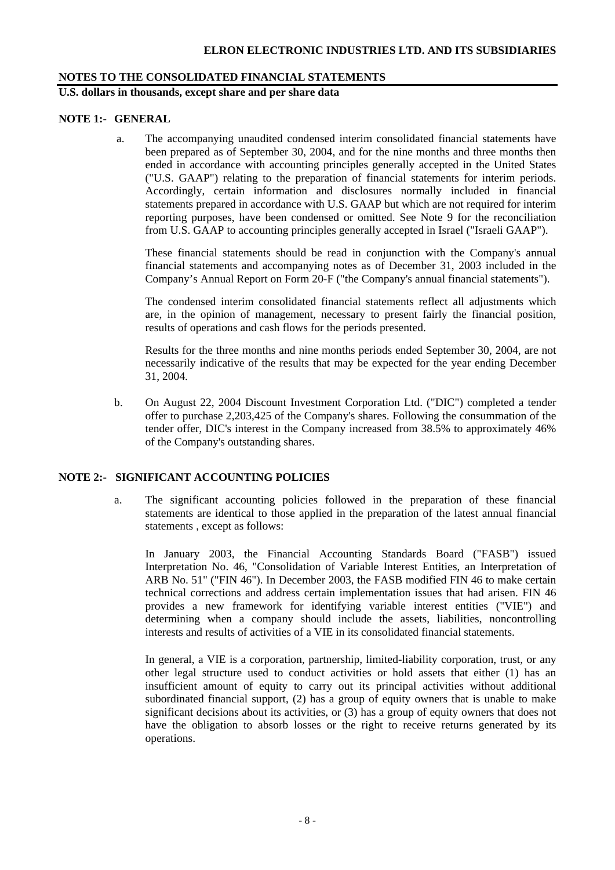# **NOTES TO THE CONSOLIDATED FINANCIAL STATEMENTS**

**U.S. dollars in thousands, except share and per share data** 

# **NOTE 1:- GENERAL**

a. The accompanying unaudited condensed interim consolidated financial statements have been prepared as of September 30, 2004, and for the nine months and three months then ended in accordance with accounting principles generally accepted in the United States ("U.S. GAAP") relating to the preparation of financial statements for interim periods. Accordingly, certain information and disclosures normally included in financial statements prepared in accordance with U.S. GAAP but which are not required for interim reporting purposes, have been condensed or omitted. See Note 9 for the reconciliation from U.S. GAAP to accounting principles generally accepted in Israel ("Israeli GAAP").

 These financial statements should be read in conjunction with the Company's annual financial statements and accompanying notes as of December 31, 2003 included in the Company's Annual Report on Form 20-F ("the Company's annual financial statements").

The condensed interim consolidated financial statements reflect all adjustments which are, in the opinion of management, necessary to present fairly the financial position, results of operations and cash flows for the periods presented.

Results for the three months and nine months periods ended September 30, 2004, are not necessarily indicative of the results that may be expected for the year ending December 31, 2004.

b. On August 22, 2004 Discount Investment Corporation Ltd. ("DIC") completed a tender offer to purchase 2,203,425 of the Company's shares. Following the consummation of the tender offer, DIC's interest in the Company increased from 38.5% to approximately 46% of the Company's outstanding shares.

# **NOTE 2:- SIGNIFICANT ACCOUNTING POLICIES**

a. The significant accounting policies followed in the preparation of these financial statements are identical to those applied in the preparation of the latest annual financial statements , except as follows:

In January 2003, the Financial Accounting Standards Board ("FASB") issued Interpretation No. 46, "Consolidation of Variable Interest Entities, an Interpretation of ARB No. 51" ("FIN 46"). In December 2003, the FASB modified FIN 46 to make certain technical corrections and address certain implementation issues that had arisen. FIN 46 provides a new framework for identifying variable interest entities ("VIE") and determining when a company should include the assets, liabilities, noncontrolling interests and results of activities of a VIE in its consolidated financial statements.

In general, a VIE is a corporation, partnership, limited-liability corporation, trust, or any other legal structure used to conduct activities or hold assets that either (1) has an insufficient amount of equity to carry out its principal activities without additional subordinated financial support, (2) has a group of equity owners that is unable to make significant decisions about its activities, or (3) has a group of equity owners that does not have the obligation to absorb losses or the right to receive returns generated by its operations.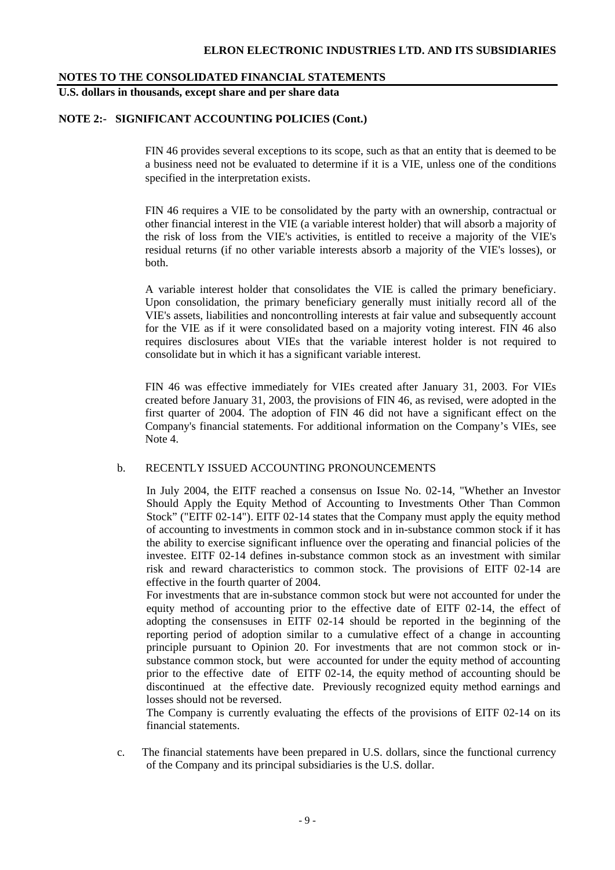# **NOTES TO THE CONSOLIDATED FINANCIAL STATEMENTS**

# **U.S. dollars in thousands, except share and per share data**

# **NOTE 2:- SIGNIFICANT ACCOUNTING POLICIES (Cont.)**

FIN 46 provides several exceptions to its scope, such as that an entity that is deemed to be a business need not be evaluated to determine if it is a VIE, unless one of the conditions specified in the interpretation exists.

FIN 46 requires a VIE to be consolidated by the party with an ownership, contractual or other financial interest in the VIE (a variable interest holder) that will absorb a majority of the risk of loss from the VIE's activities, is entitled to receive a majority of the VIE's residual returns (if no other variable interests absorb a majority of the VIE's losses), or both.

A variable interest holder that consolidates the VIE is called the primary beneficiary. Upon consolidation, the primary beneficiary generally must initially record all of the VIE's assets, liabilities and noncontrolling interests at fair value and subsequently account for the VIE as if it were consolidated based on a majority voting interest. FIN 46 also requires disclosures about VIEs that the variable interest holder is not required to consolidate but in which it has a significant variable interest.

FIN 46 was effective immediately for VIEs created after January 31, 2003. For VIEs created before January 31, 2003, the provisions of FIN 46, as revised, were adopted in the first quarter of 2004. The adoption of FIN 46 did not have a significant effect on the Company's financial statements. For additional information on the Company's VIEs, see Note 4.

## b. RECENTLY ISSUED ACCOUNTING PRONOUNCEMENTS

In July 2004, the EITF reached a consensus on Issue No. 02-14, "Whether an Investor Should Apply the Equity Method of Accounting to Investments Other Than Common Stock" ("EITF 02-14"). EITF 02-14 states that the Company must apply the equity method of accounting to investments in common stock and in in-substance common stock if it has the ability to exercise significant influence over the operating and financial policies of the investee. EITF 02-14 defines in-substance common stock as an investment with similar risk and reward characteristics to common stock. The provisions of EITF 02-14 are effective in the fourth quarter of 2004.

For investments that are in-substance common stock but were not accounted for under the equity method of accounting prior to the effective date of EITF 02-14, the effect of adopting the consensuses in EITF 02-14 should be reported in the beginning of the reporting period of adoption similar to a cumulative effect of a change in accounting principle pursuant to Opinion 20. For investments that are not common stock or insubstance common stock, but were accounted for under the equity method of accounting prior to the effective date of EITF 02-14, the equity method of accounting should be discontinued at the effective date. Previously recognized equity method earnings and losses should not be reversed.

The Company is currently evaluating the effects of the provisions of EITF 02-14 on its financial statements.

c. The financial statements have been prepared in U.S. dollars, since the functional currency of the Company and its principal subsidiaries is the U.S. dollar.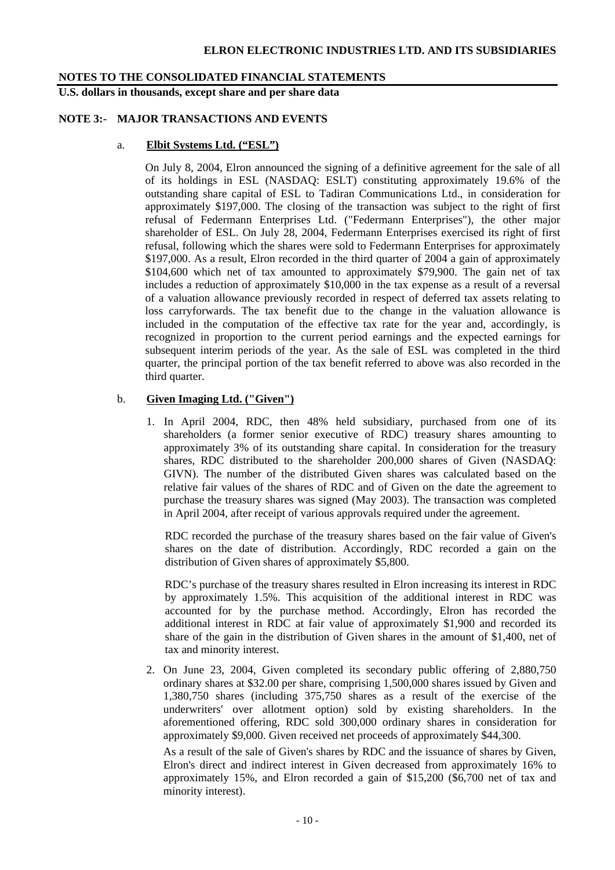#### **NOTES TO THE CONSOLIDATED FINANCIAL STATEMENTS**

**U.S. dollars in thousands, except share and per share data** 

# **NOTE 3:- MAJOR TRANSACTIONS AND EVENTS**

#### a. **Elbit Systems Ltd. ("ESL")**

On July 8, 2004, Elron announced the signing of a definitive agreement for the sale of all of its holdings in ESL (NASDAQ: ESLT) constituting approximately 19.6% of the outstanding share capital of ESL to Tadiran Communications Ltd., in consideration for approximately \$197,000. The closing of the transaction was subject to the right of first refusal of Federmann Enterprises Ltd. ("Federmann Enterprises"), the other major shareholder of ESL. On July 28, 2004, Federmann Enterprises exercised its right of first refusal, following which the shares were sold to Federmann Enterprises for approximately \$197,000. As a result, Elron recorded in the third quarter of 2004 a gain of approximately \$104,600 which net of tax amounted to approximately \$79,900. The gain net of tax includes a reduction of approximately \$10,000 in the tax expense as a result of a reversal of a valuation allowance previously recorded in respect of deferred tax assets relating to loss carryforwards. The tax benefit due to the change in the valuation allowance is included in the computation of the effective tax rate for the year and, accordingly, is recognized in proportion to the current period earnings and the expected earnings for subsequent interim periods of the year. As the sale of ESL was completed in the third quarter, the principal portion of the tax benefit referred to above was also recorded in the third quarter.

#### b. **Given Imaging Ltd. ("Given")**

1. In April 2004, RDC, then 48% held subsidiary, purchased from one of its shareholders (a former senior executive of RDC) treasury shares amounting to approximately 3% of its outstanding share capital. In consideration for the treasury shares, RDC distributed to the shareholder 200,000 shares of Given (NASDAQ: GIVN). The number of the distributed Given shares was calculated based on the relative fair values of the shares of RDC and of Given on the date the agreement to purchase the treasury shares was signed (May 2003). The transaction was completed in April 2004, after receipt of various approvals required under the agreement.

RDC recorded the purchase of the treasury shares based on the fair value of Given's shares on the date of distribution. Accordingly, RDC recorded a gain on the distribution of Given shares of approximately \$5,800.

RDC's purchase of the treasury shares resulted in Elron increasing its interest in RDC by approximately 1.5%. This acquisition of the additional interest in RDC was accounted for by the purchase method. Accordingly, Elron has recorded the additional interest in RDC at fair value of approximately \$1,900 and recorded its share of the gain in the distribution of Given shares in the amount of \$1,400, net of tax and minority interest.

2. On June 23, 2004, Given completed its secondary public offering of 2,880,750 ordinary shares at \$32.00 per share, comprising 1,500,000 shares issued by Given and 1,380,750 shares (including 375,750 shares as a result of the exercise of the underwriters' over allotment option) sold by existing shareholders. In the aforementioned offering, RDC sold 300,000 ordinary shares in consideration for approximately \$9,000. Given received net proceeds of approximately \$44,300.

As a result of the sale of Given's shares by RDC and the issuance of shares by Given, Elron's direct and indirect interest in Given decreased from approximately 16% to approximately 15%, and Elron recorded a gain of \$15,200 (\$6,700 net of tax and minority interest).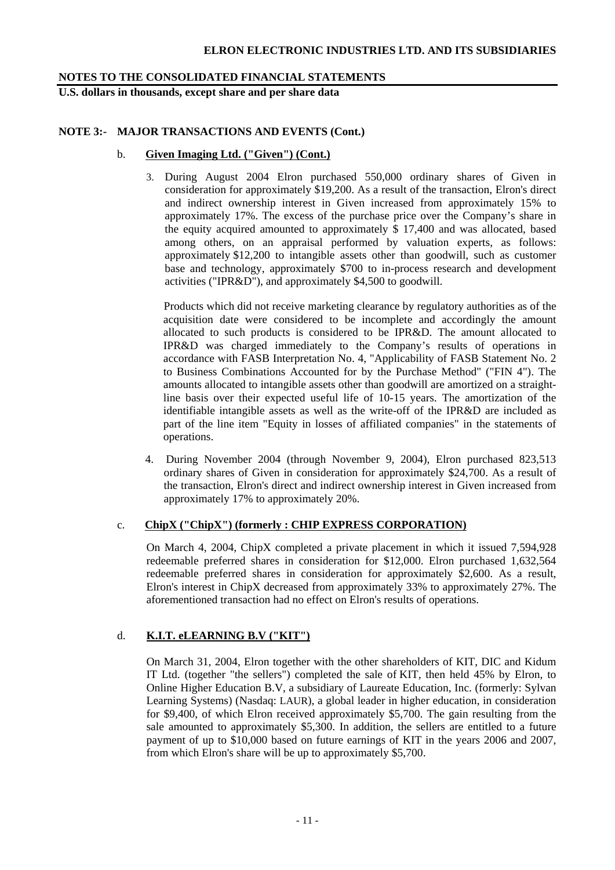# **NOTES TO THE CONSOLIDATED FINANCIAL STATEMENTS**

**U.S. dollars in thousands, except share and per share data** 

# **NOTE 3:- MAJOR TRANSACTIONS AND EVENTS (Cont.)**

# b. **Given Imaging Ltd. ("Given") (Cont.)**

3. During August 2004 Elron purchased 550,000 ordinary shares of Given in consideration for approximately \$19,200. As a result of the transaction, Elron's direct and indirect ownership interest in Given increased from approximately 15% to approximately 17%. The excess of the purchase price over the Company's share in the equity acquired amounted to approximately \$ 17,400 and was allocated, based among others, on an appraisal performed by valuation experts, as follows: approximately \$12,200 to intangible assets other than goodwill, such as customer base and technology, approximately \$700 to in-process research and development activities ("IPR&D"), and approximately \$4,500 to goodwill.

Products which did not receive marketing clearance by regulatory authorities as of the acquisition date were considered to be incomplete and accordingly the amount allocated to such products is considered to be IPR&D. The amount allocated to IPR&D was charged immediately to the Company's results of operations in accordance with FASB Interpretation No. 4, "Applicability of FASB Statement No. 2 to Business Combinations Accounted for by the Purchase Method" ("FIN 4"). The amounts allocated to intangible assets other than goodwill are amortized on a straightline basis over their expected useful life of 10-15 years. The amortization of the identifiable intangible assets as well as the write-off of the IPR&D are included as part of the line item "Equity in losses of affiliated companies" in the statements of operations.

4. During November 2004 (through November 9, 2004), Elron purchased 823,513 ordinary shares of Given in consideration for approximately \$24,700. As a result of the transaction, Elron's direct and indirect ownership interest in Given increased from approximately 17% to approximately 20%.

## c. **ChipX ("ChipX") (formerly : CHIP EXPRESS CORPORATION)**

On March 4, 2004, ChipX completed a private placement in which it issued 7,594,928 redeemable preferred shares in consideration for \$12,000. Elron purchased 1,632,564 redeemable preferred shares in consideration for approximately \$2,600. As a result, Elron's interest in ChipX decreased from approximately 33% to approximately 27%. The aforementioned transaction had no effect on Elron's results of operations.

# d. **K.I.T. eLEARNING B.V ("KIT")**

On March 31, 2004, Elron together with the other shareholders of KIT, DIC and Kidum IT Ltd. (together "the sellers") completed the sale of KIT, then held 45% by Elron, to Online Higher Education B.V, a subsidiary of Laureate Education, Inc. (formerly: Sylvan Learning Systems) (Nasdaq: LAUR), a global leader in higher education, in consideration for \$9,400, of which Elron received approximately \$5,700. The gain resulting from the sale amounted to approximately \$5,300. In addition, the sellers are entitled to a future payment of up to \$10,000 based on future earnings of KIT in the years 2006 and 2007, from which Elron's share will be up to approximately \$5,700.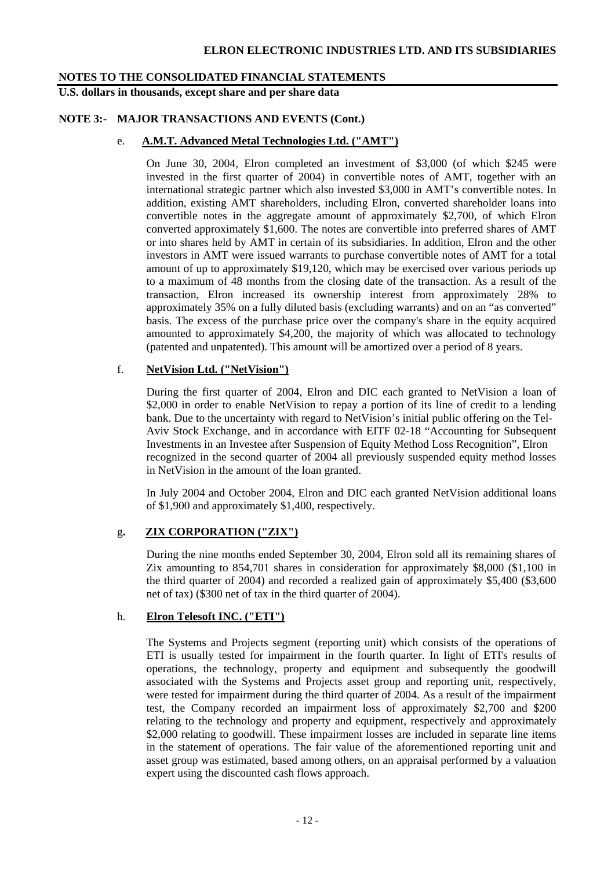# **NOTES TO THE CONSOLIDATED FINANCIAL STATEMENTS**

**U.S. dollars in thousands, except share and per share data** 

# **NOTE 3:- MAJOR TRANSACTIONS AND EVENTS (Cont.)**

# e. **A.M.T. Advanced Metal Technologies Ltd. ("AMT")**

On June 30, 2004, Elron completed an investment of \$3,000 (of which \$245 were invested in the first quarter of 2004) in convertible notes of AMT, together with an international strategic partner which also invested \$3,000 in AMT's convertible notes. In addition, existing AMT shareholders, including Elron, converted shareholder loans into convertible notes in the aggregate amount of approximately \$2,700, of which Elron converted approximately \$1,600. The notes are convertible into preferred shares of AMT or into shares held by AMT in certain of its subsidiaries. In addition, Elron and the other investors in AMT were issued warrants to purchase convertible notes of AMT for a total amount of up to approximately \$19,120, which may be exercised over various periods up to a maximum of 48 months from the closing date of the transaction. As a result of the transaction, Elron increased its ownership interest from approximately 28% to approximately 35% on a fully diluted basis (excluding warrants) and on an "as converted" basis. The excess of the purchase price over the company's share in the equity acquired amounted to approximately \$4,200, the majority of which was allocated to technology (patented and unpatented). This amount will be amortized over a period of 8 years.

# f. **NetVision Ltd. ("NetVision")**

 During the first quarter of 2004, Elron and DIC each granted to NetVision a loan of \$2,000 in order to enable NetVision to repay a portion of its line of credit to a lending bank. Due to the uncertainty with regard to NetVision's initial public offering on the Tel- Aviv Stock Exchange, and in accordance with EITF 02-18 "Accounting for Subsequent Investments in an Investee after Suspension of Equity Method Loss Recognition", Elron recognized in the second quarter of 2004 all previously suspended equity method losses in NetVision in the amount of the loan granted.

In July 2004 and October 2004, Elron and DIC each granted NetVision additional loans of \$1,900 and approximately \$1,400, respectively.

# g**. ZIX CORPORATION ("ZIX")**

During the nine months ended September 30, 2004, Elron sold all its remaining shares of Zix amounting to 854,701 shares in consideration for approximately \$8,000 (\$1,100 in the third quarter of 2004) and recorded a realized gain of approximately \$5,400 (\$3,600 net of tax) (\$300 net of tax in the third quarter of 2004).

# h. **Elron Telesoft INC. ("ETI")**

 The Systems and Projects segment (reporting unit) which consists of the operations of ETI is usually tested for impairment in the fourth quarter. In light of ETI's results of operations, the technology, property and equipment and subsequently the goodwill associated with the Systems and Projects asset group and reporting unit, respectively, were tested for impairment during the third quarter of 2004. As a result of the impairment test, the Company recorded an impairment loss of approximately \$2,700 and \$200 relating to the technology and property and equipment, respectively and approximately \$2,000 relating to goodwill. These impairment losses are included in separate line items in the statement of operations. The fair value of the aforementioned reporting unit and asset group was estimated, based among others, on an appraisal performed by a valuation expert using the discounted cash flows approach.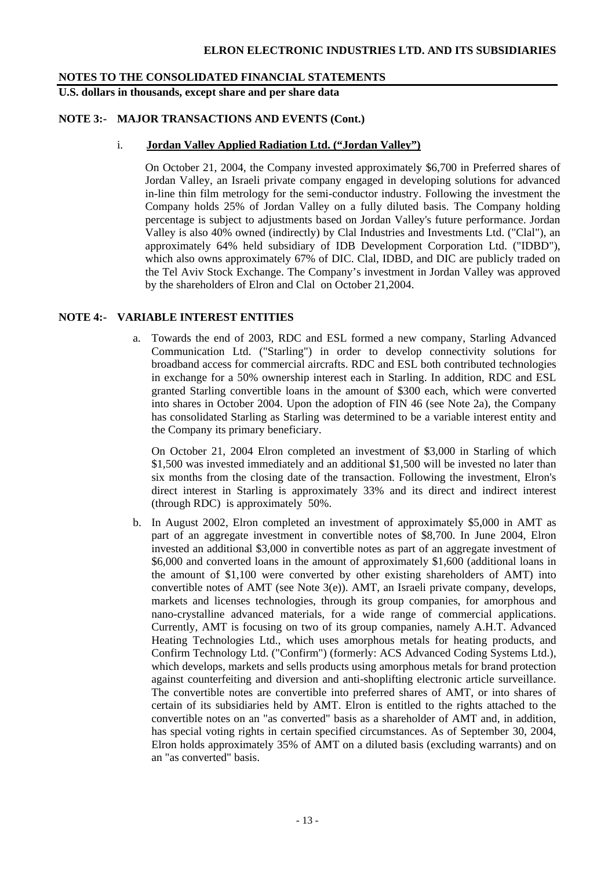# **NOTES TO THE CONSOLIDATED FINANCIAL STATEMENTS**

# **U.S. dollars in thousands, except share and per share data**

# **NOTE 3:- MAJOR TRANSACTIONS AND EVENTS (Cont.)**

# i. **Jordan Valley Applied Radiation Ltd. ("Jordan Valley")**

On October 21, 2004, the Company invested approximately \$6,700 in Preferred shares of Jordan Valley, an Israeli private company engaged in developing solutions for advanced in-line thin film metrology for the semi-conductor industry. Following the investment the Company holds 25% of Jordan Valley on a fully diluted basis. The Company holding percentage is subject to adjustments based on Jordan Valley's future performance. Jordan Valley is also 40% owned (indirectly) by Clal Industries and Investments Ltd. ("Clal"), an approximately 64% held subsidiary of IDB Development Corporation Ltd. ("IDBD"), which also owns approximately 67% of DIC. Clal, IDBD, and DIC are publicly traded on the Tel Aviv Stock Exchange. The Company's investment in Jordan Valley was approved by the shareholders of Elron and Clal on October 21,2004.

# **NOTE 4:- VARIABLE INTEREST ENTITIES**

a. Towards the end of 2003, RDC and ESL formed a new company, Starling Advanced Communication Ltd. ("Starling") in order to develop connectivity solutions for broadband access for commercial aircrafts. RDC and ESL both contributed technologies in exchange for a 50% ownership interest each in Starling. In addition, RDC and ESL granted Starling convertible loans in the amount of \$300 each, which were converted into shares in October 2004. Upon the adoption of FIN 46 (see Note 2a), the Company has consolidated Starling as Starling was determined to be a variable interest entity and the Company its primary beneficiary.

On October 21, 2004 Elron completed an investment of \$3,000 in Starling of which \$1,500 was invested immediately and an additional \$1,500 will be invested no later than six months from the closing date of the transaction. Following the investment, Elron's direct interest in Starling is approximately 33% and its direct and indirect interest (through RDC) is approximately 50%.

b. In August 2002, Elron completed an investment of approximately \$5,000 in AMT as part of an aggregate investment in convertible notes of \$8,700. In June 2004, Elron invested an additional \$3,000 in convertible notes as part of an aggregate investment of \$6,000 and converted loans in the amount of approximately \$1,600 (additional loans in the amount of \$1,100 were converted by other existing shareholders of AMT) into convertible notes of AMT (see Note  $3(e)$ ). AMT, an Israeli private company, develops, markets and licenses technologies, through its group companies, for amorphous and nano-crystalline advanced materials, for a wide range of commercial applications. Currently, AMT is focusing on two of its group companies, namely A.H.T. Advanced Heating Technologies Ltd., which uses amorphous metals for heating products, and Confirm Technology Ltd. ("Confirm") (formerly: ACS Advanced Coding Systems Ltd.), which develops, markets and sells products using amorphous metals for brand protection against counterfeiting and diversion and anti-shoplifting electronic article surveillance. The convertible notes are convertible into preferred shares of AMT, or into shares of certain of its subsidiaries held by AMT. Elron is entitled to the rights attached to the convertible notes on an "as converted" basis as a shareholder of AMT and, in addition, has special voting rights in certain specified circumstances. As of September 30, 2004, Elron holds approximately 35% of AMT on a diluted basis (excluding warrants) and on an "as converted" basis.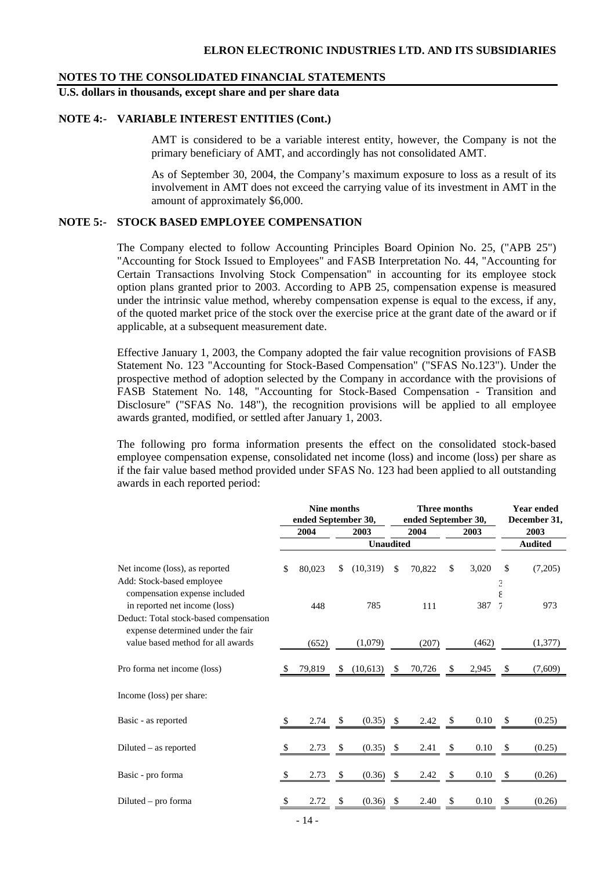#### **NOTES TO THE CONSOLIDATED FINANCIAL STATEMENTS**

# **U.S. dollars in thousands, except share and per share data**

# **NOTE 4:- VARIABLE INTEREST ENTITIES (Cont.)**

AMT is considered to be a variable interest entity, however, the Company is not the primary beneficiary of AMT, and accordingly has not consolidated AMT.

As of September 30, 2004, the Company's maximum exposure to loss as a result of its involvement in AMT does not exceed the carrying value of its investment in AMT in the amount of approximately \$6,000.

# **NOTE 5:- STOCK BASED EMPLOYEE COMPENSATION**

The Company elected to follow Accounting Principles Board Opinion No. 25, ("APB 25") "Accounting for Stock Issued to Employees" and FASB Interpretation No. 44, "Accounting for Certain Transactions Involving Stock Compensation" in accounting for its employee stock option plans granted prior to 2003. According to APB 25, compensation expense is measured under the intrinsic value method, whereby compensation expense is equal to the excess, if any, of the quoted market price of the stock over the exercise price at the grant date of the award or if applicable, at a subsequent measurement date.

Effective January 1, 2003, the Company adopted the fair value recognition provisions of FASB Statement No. 123 "Accounting for Stock-Based Compensation" ("SFAS No.123"). Under the prospective method of adoption selected by the Company in accordance with the provisions of FASB Statement No. 148, "Accounting for Stock-Based Compensation - Transition and Disclosure" ("SFAS No. 148"), the recognition provisions will be applied to all employee awards granted, modified, or settled after January 1, 2003.

The following pro forma information presents the effect on the consolidated stock-based employee compensation expense, consolidated net income (loss) and income (loss) per share as if the fair value based method provided under SFAS No. 123 had been applied to all outstanding awards in each reported period:

|                                                                                              |               | Nine months<br>ended September 30, |    |                  |      | <b>Three months</b><br>ended September 30, | Year ended<br>December 31, |                |                |  |
|----------------------------------------------------------------------------------------------|---------------|------------------------------------|----|------------------|------|--------------------------------------------|----------------------------|----------------|----------------|--|
|                                                                                              |               | 2004                               |    | 2003             |      | 2004                                       | 2003                       | 2003           |                |  |
|                                                                                              |               |                                    |    | <b>Unaudited</b> |      |                                            |                            |                | <b>Audited</b> |  |
| Net income (loss), as reported<br>Add: Stock-based employee<br>compensation expense included | \$            | 80,023                             | \$ | (10,319)         | \$   | 70,822                                     | \$<br>3,020                | \$<br>Э        | (7,205)        |  |
| in reported net income (loss)<br>Deduct: Total stock-based compensation                      |               | 448                                |    | 785              |      | 111                                        | 387                        | $\overline{1}$ | 973            |  |
| expense determined under the fair<br>value based method for all awards                       |               | (652)                              |    | (1,079)          |      | (207)                                      | (462)                      |                | (1,377)        |  |
| Pro forma net income (loss)                                                                  | <sup>S</sup>  | 79,819                             | S. | (10,613)         | - \$ | 70,726                                     | \$<br>2,945                | \$             | (7,609)        |  |
| Income (loss) per share:                                                                     |               |                                    |    |                  |      |                                            |                            |                |                |  |
| Basic - as reported                                                                          |               | 2.74                               | S  | $(0.35)$ \$      |      | 2.42                                       | 0.10                       |                | (0.25)         |  |
| Diluted – as reported                                                                        | <sup>\$</sup> | 2.73                               | \$ | (0.35)           | -S   | 2.41                                       | \$<br>0.10                 | \$             | (0.25)         |  |
| Basic - pro forma                                                                            | \$            | 2.73                               | \$ | (0.36)           | - \$ | 2.42                                       | \$<br>0.10                 | \$             | (0.26)         |  |
| Diluted $-$ pro forma                                                                        |               | 2.72                               | S  | (0.36)           | \$   | 2.40                                       | \$<br>0.10                 | S              | (0.26)         |  |
|                                                                                              |               |                                    |    |                  |      |                                            |                            |                |                |  |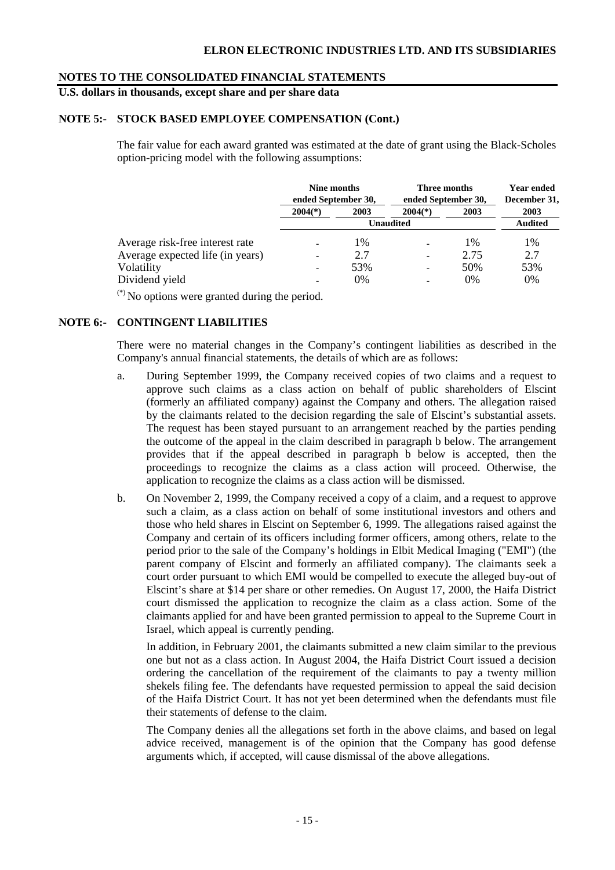# **NOTES TO THE CONSOLIDATED FINANCIAL STATEMENTS**

# **U.S. dollars in thousands, except share and per share data**

# **NOTE 5:- STOCK BASED EMPLOYEE COMPENSATION (Cont.)**

The fair value for each award granted was estimated at the date of grant using the Black-Scholes option-pricing model with the following assumptions:

|                                  | Nine months<br>ended September 30, |       |                          | Three months<br>ended September 30, |                |  |  |  |
|----------------------------------|------------------------------------|-------|--------------------------|-------------------------------------|----------------|--|--|--|
|                                  | $2004(*)$                          | 2003  | $2004(*)$                | 2003                                | 2003           |  |  |  |
|                                  |                                    |       | <b>Unaudited</b>         |                                     | <b>Audited</b> |  |  |  |
| Average risk-free interest rate  |                                    | 1%    |                          | 1%                                  | 1%             |  |  |  |
| Average expected life (in years) |                                    | 2.7   | $\overline{\phantom{0}}$ | 2.75                                | 2.7            |  |  |  |
| Volatility                       |                                    | 53%   |                          | 50%                                 | 53%            |  |  |  |
| Dividend yield                   |                                    | $0\%$ | $\overline{\phantom{a}}$ | $0\%$                               | 0%             |  |  |  |

 $(*)$  No options were granted during the period.

## **NOTE 6:- CONTINGENT LIABILITIES**

There were no material changes in the Company's contingent liabilities as described in the Company's annual financial statements, the details of which are as follows:

- a. During September 1999, the Company received copies of two claims and a request to approve such claims as a class action on behalf of public shareholders of Elscint (formerly an affiliated company) against the Company and others. The allegation raised by the claimants related to the decision regarding the sale of Elscint's substantial assets. The request has been stayed pursuant to an arrangement reached by the parties pending the outcome of the appeal in the claim described in paragraph b below. The arrangement provides that if the appeal described in paragraph b below is accepted, then the proceedings to recognize the claims as a class action will proceed. Otherwise, the application to recognize the claims as a class action will be dismissed.
- b. On November 2, 1999, the Company received a copy of a claim, and a request to approve such a claim, as a class action on behalf of some institutional investors and others and those who held shares in Elscint on September 6, 1999. The allegations raised against the Company and certain of its officers including former officers, among others, relate to the period prior to the sale of the Company's holdings in Elbit Medical Imaging ("EMI") (the parent company of Elscint and formerly an affiliated company). The claimants seek a court order pursuant to which EMI would be compelled to execute the alleged buy-out of Elscint's share at \$14 per share or other remedies. On August 17, 2000, the Haifa District court dismissed the application to recognize the claim as a class action. Some of the claimants applied for and have been granted permission to appeal to the Supreme Court in Israel, which appeal is currently pending.

 In addition, in February 2001, the claimants submitted a new claim similar to the previous one but not as a class action. In August 2004, the Haifa District Court issued a decision ordering the cancellation of the requirement of the claimants to pay a twenty million shekels filing fee. The defendants have requested permission to appeal the said decision of the Haifa District Court. It has not yet been determined when the defendants must file their statements of defense to the claim.

The Company denies all the allegations set forth in the above claims, and based on legal advice received, management is of the opinion that the Company has good defense arguments which, if accepted, will cause dismissal of the above allegations.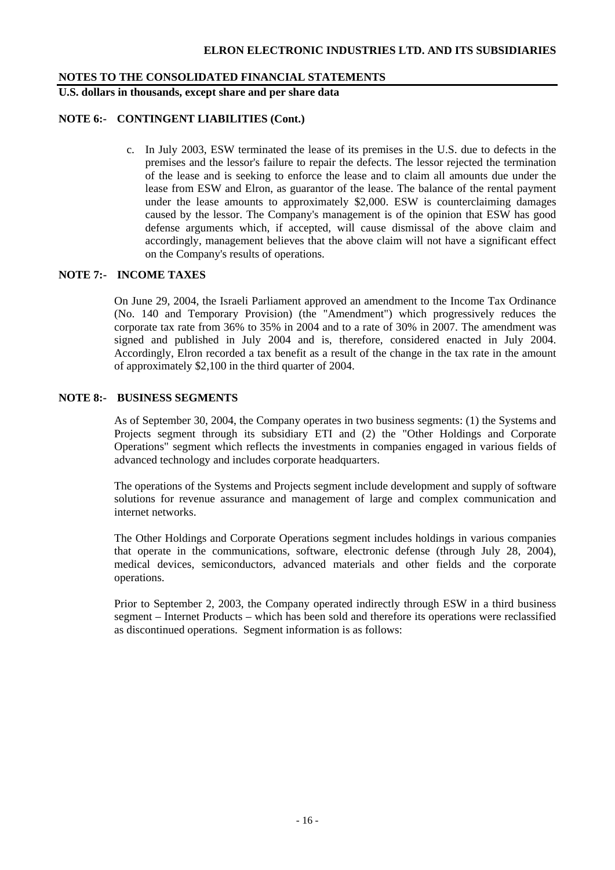# **NOTES TO THE CONSOLIDATED FINANCIAL STATEMENTS**

**U.S. dollars in thousands, except share and per share data** 

# **NOTE 6:- CONTINGENT LIABILITIES (Cont.)**

c. In July 2003, ESW terminated the lease of its premises in the U.S. due to defects in the premises and the lessor's failure to repair the defects. The lessor rejected the termination of the lease and is seeking to enforce the lease and to claim all amounts due under the lease from ESW and Elron, as guarantor of the lease. The balance of the rental payment under the lease amounts to approximately \$2,000. ESW is counterclaiming damages caused by the lessor. The Company's management is of the opinion that ESW has good defense arguments which, if accepted, will cause dismissal of the above claim and accordingly, management believes that the above claim will not have a significant effect on the Company's results of operations.

# **NOTE 7:- INCOME TAXES**

On June 29, 2004, the Israeli Parliament approved an amendment to the Income Tax Ordinance (No. 140 and Temporary Provision) (the "Amendment") which progressively reduces the corporate tax rate from 36% to 35% in 2004 and to a rate of 30% in 2007. The amendment was signed and published in July 2004 and is, therefore, considered enacted in July 2004. Accordingly, Elron recorded a tax benefit as a result of the change in the tax rate in the amount of approximately \$2,100 in the third quarter of 2004.

# **NOTE 8:- BUSINESS SEGMENTS**

As of September 30, 2004, the Company operates in two business segments: (1) the Systems and Projects segment through its subsidiary ETI and (2) the "Other Holdings and Corporate Operations" segment which reflects the investments in companies engaged in various fields of advanced technology and includes corporate headquarters.

The operations of the Systems and Projects segment include development and supply of software solutions for revenue assurance and management of large and complex communication and internet networks.

The Other Holdings and Corporate Operations segment includes holdings in various companies that operate in the communications, software, electronic defense (through July 28, 2004), medical devices, semiconductors, advanced materials and other fields and the corporate operations.

Prior to September 2, 2003, the Company operated indirectly through ESW in a third business segment – Internet Products – which has been sold and therefore its operations were reclassified as discontinued operations. Segment information is as follows: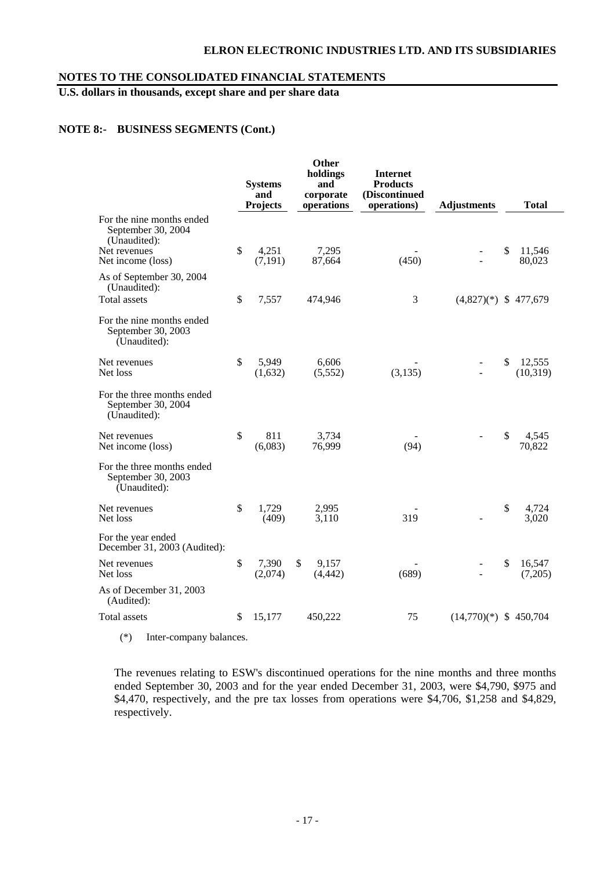# **NOTES TO THE CONSOLIDATED FINANCIAL STATEMENTS**

# **U.S. dollars in thousands, except share and per share data**

## **NOTE 8:- BUSINESS SEGMENTS (Cont.)**

|                                                                  | <b>Systems</b><br>and<br><b>Projects</b> |                   | Other<br>holdings<br>and<br>corporate<br>operations | <b>Internet</b><br><b>Products</b><br>(Discontinued<br>operations) | <b>Adjustments</b>       |              | <b>Total</b>        |
|------------------------------------------------------------------|------------------------------------------|-------------------|-----------------------------------------------------|--------------------------------------------------------------------|--------------------------|--------------|---------------------|
| For the nine months ended<br>September 30, 2004<br>(Unaudited):  |                                          |                   |                                                     |                                                                    |                          |              |                     |
| Net revenues<br>Net income (loss)                                | $\mathbb{S}$                             | 4,251<br>(7, 191) | 7,295<br>87,664                                     | (450)                                                              |                          | \$           | 11,546<br>80,023    |
| As of September 30, 2004<br>(Unaudited):                         |                                          |                   |                                                     |                                                                    |                          |              |                     |
| <b>Total</b> assets                                              | \$                                       | 7,557             | 474,946                                             | 3                                                                  | $(4,827)(*)$ \$ 477,679  |              |                     |
| For the nine months ended<br>September 30, 2003<br>(Unaudited):  |                                          |                   |                                                     |                                                                    |                          |              |                     |
| Net revenues<br>Net loss                                         | \$                                       | 5,949<br>(1,632)  | 6,606<br>(5,552)                                    | (3, 135)                                                           | $\overline{\phantom{a}}$ | \$           | 12,555<br>(10, 319) |
| For the three months ended<br>September 30, 2004<br>(Unaudited): |                                          |                   |                                                     |                                                                    |                          |              |                     |
| Net revenues<br>Net income (loss)                                | $\mathbb{S}$                             | 811<br>(6,083)    | 3,734<br>76,999                                     | (94)                                                               |                          | $\mathbb{S}$ | 4,545<br>70,822     |
| For the three months ended<br>September 30, 2003<br>(Unaudited): |                                          |                   |                                                     |                                                                    |                          |              |                     |
| Net revenues<br>Net loss                                         | \$                                       | 1,729<br>(409)    | 2,995<br>3,110                                      | 319                                                                |                          | \$           | 4,724<br>3,020      |
| For the year ended<br>December 31, 2003 (Audited):               |                                          |                   |                                                     |                                                                    |                          |              |                     |
| Net revenues<br>Net loss                                         | $\mathcal{S}$                            | 7,390<br>(2,074)  | \$<br>9,157<br>(4, 442)                             | (689)                                                              | $\overline{a}$           | \$           | 16,547<br>(7,205)   |
| As of December 31, 2003<br>(Audited):                            |                                          |                   |                                                     |                                                                    |                          |              |                     |
| <b>Total</b> assets                                              | \$                                       | 15,177            | 450,222                                             | 75                                                                 | $(14,770)(*)$ \$ 450,704 |              |                     |

(\*) Inter-company balances.

The revenues relating to ESW's discontinued operations for the nine months and three months ended September 30, 2003 and for the year ended December 31, 2003, were \$4,790, \$975 and \$4,470, respectively, and the pre tax losses from operations were \$4,706, \$1,258 and \$4,829, respectively.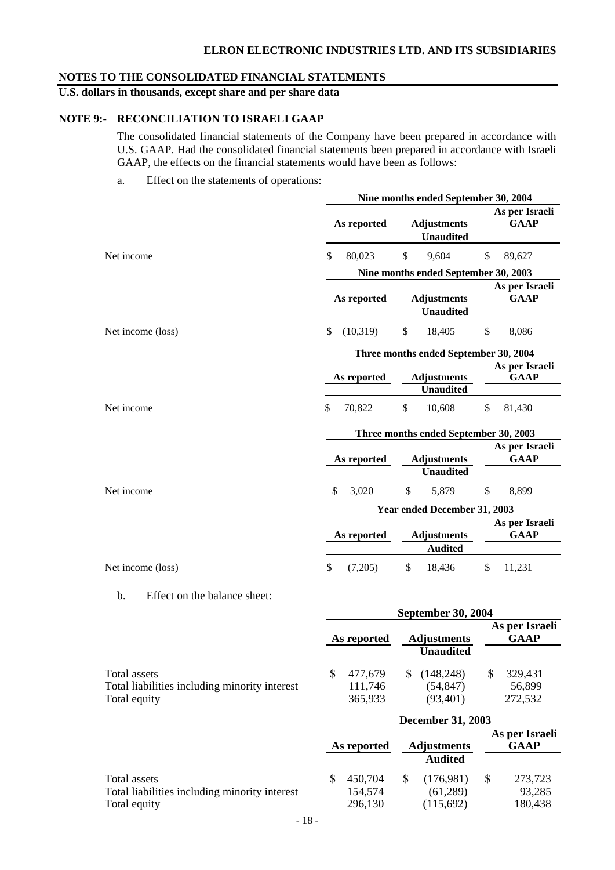# **NOTES TO THE CONSOLIDATED FINANCIAL STATEMENTS**

# **U.S. dollars in thousands, except share and per share data**

# **NOTE 9:- RECONCILIATION TO ISRAELI GAAP**

The consolidated financial statements of the Company have been prepared in accordance with U.S. GAAP. Had the consolidated financial statements been prepared in accordance with Israeli GAAP, the effects on the financial statements would have been as follows:

a. Effect on the statements of operations:

|                   | Nine months ended September 30, 2004  |                                        |                               |  |  |  |  |  |  |  |  |
|-------------------|---------------------------------------|----------------------------------------|-------------------------------|--|--|--|--|--|--|--|--|
|                   | As reported                           | <b>Adjustments</b><br><b>Unaudited</b> | As per Israeli<br><b>GAAP</b> |  |  |  |  |  |  |  |  |
| Net income        | \$<br>80,023                          | \$<br>9,604                            | \$<br>89,627                  |  |  |  |  |  |  |  |  |
|                   |                                       | Nine months ended September 30, 2003   |                               |  |  |  |  |  |  |  |  |
|                   | As reported                           | <b>Adjustments</b>                     | As per Israeli<br><b>GAAP</b> |  |  |  |  |  |  |  |  |
|                   |                                       | <b>Unaudited</b>                       |                               |  |  |  |  |  |  |  |  |
| Net income (loss) | \$<br>(10,319)                        | $\mathbb{S}$<br>18,405                 | \$<br>8,086                   |  |  |  |  |  |  |  |  |
|                   | Three months ended September 30, 2004 |                                        |                               |  |  |  |  |  |  |  |  |
|                   | As reported                           | <b>Adjustments</b>                     | As per Israeli<br><b>GAAP</b> |  |  |  |  |  |  |  |  |
|                   |                                       | <b>Unaudited</b>                       |                               |  |  |  |  |  |  |  |  |
| Net income        | \$<br>70,822                          | \$<br>10,608                           | \$<br>81,430                  |  |  |  |  |  |  |  |  |
|                   |                                       | Three months ended September 30, 2003  |                               |  |  |  |  |  |  |  |  |
|                   | As reported                           | <b>Adjustments</b><br><b>Unaudited</b> | As per Israeli<br><b>GAAP</b> |  |  |  |  |  |  |  |  |
| Net income        | \$<br>3,020                           | \$<br>5,879                            | \$<br>8,899                   |  |  |  |  |  |  |  |  |
|                   |                                       | Year ended December 31, 2003           |                               |  |  |  |  |  |  |  |  |
|                   | As reported                           | <b>Adjustments</b><br><b>Audited</b>   | As per Israeli<br><b>GAAP</b> |  |  |  |  |  |  |  |  |
| Net income (loss) | \$<br>(7,205)                         | \$<br>18,436                           | \$<br>11,231                  |  |  |  |  |  |  |  |  |

b. Effect on the balance sheet:

|                                               | <b>September 30, 2004</b> |             |  |                                        |  |                               |  |
|-----------------------------------------------|---------------------------|-------------|--|----------------------------------------|--|-------------------------------|--|
|                                               |                           | As reported |  | <b>Adjustments</b><br><b>Unaudited</b> |  | As per Israeli<br><b>GAAP</b> |  |
| Total assets                                  |                           | 477,679     |  | (148, 248)                             |  | 329,431                       |  |
| Total liabilities including minority interest |                           | 111,746     |  | (54, 847)                              |  | 56,899                        |  |
| Total equity                                  |                           | 365,933     |  | (93, 401)                              |  | 272,532                       |  |

|                                               | <b>December 31, 2003</b> |         |                    |                               |  |         |  |
|-----------------------------------------------|--------------------------|---------|--------------------|-------------------------------|--|---------|--|
|                                               | As reported              |         | <b>Adjustments</b> | As per Israeli<br><b>GAAP</b> |  |         |  |
|                                               |                          |         |                    | <b>Audited</b>                |  |         |  |
| Total assets                                  |                          | 450.704 |                    | (176,981)                     |  | 273,723 |  |
| Total liabilities including minority interest |                          | 154,574 |                    | (61,289)                      |  | 93,285  |  |
| Total equity                                  |                          | 296,130 |                    | (115,692)                     |  | 180,438 |  |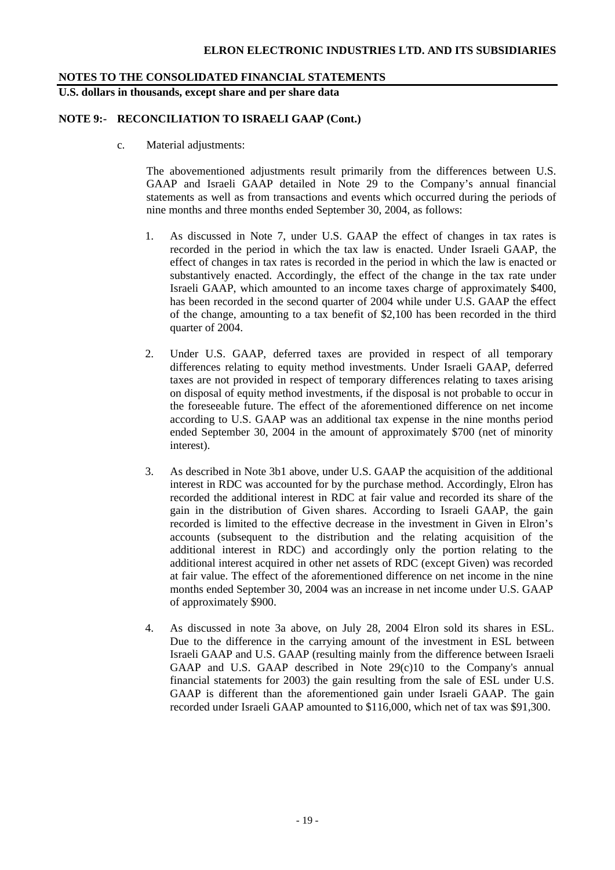# **NOTES TO THE CONSOLIDATED FINANCIAL STATEMENTS**

# **U.S. dollars in thousands, except share and per share data**

# **NOTE 9:- RECONCILIATION TO ISRAELI GAAP (Cont.)**

c. Material adjustments:

The abovementioned adjustments result primarily from the differences between U.S. GAAP and Israeli GAAP detailed in Note 29 to the Company's annual financial statements as well as from transactions and events which occurred during the periods of nine months and three months ended September 30, 2004, as follows:

- 1. As discussed in Note 7, under U.S. GAAP the effect of changes in tax rates is recorded in the period in which the tax law is enacted. Under Israeli GAAP, the effect of changes in tax rates is recorded in the period in which the law is enacted or substantively enacted. Accordingly, the effect of the change in the tax rate under Israeli GAAP, which amounted to an income taxes charge of approximately \$400, has been recorded in the second quarter of 2004 while under U.S. GAAP the effect of the change, amounting to a tax benefit of \$2,100 has been recorded in the third quarter of 2004.
- 2. Under U.S. GAAP, deferred taxes are provided in respect of all temporary differences relating to equity method investments. Under Israeli GAAP, deferred taxes are not provided in respect of temporary differences relating to taxes arising on disposal of equity method investments, if the disposal is not probable to occur in the foreseeable future. The effect of the aforementioned difference on net income according to U.S. GAAP was an additional tax expense in the nine months period ended September 30, 2004 in the amount of approximately \$700 (net of minority interest).
- 3. As described in Note 3b1 above, under U.S. GAAP the acquisition of the additional interest in RDC was accounted for by the purchase method. Accordingly, Elron has recorded the additional interest in RDC at fair value and recorded its share of the gain in the distribution of Given shares. According to Israeli GAAP, the gain recorded is limited to the effective decrease in the investment in Given in Elron's accounts (subsequent to the distribution and the relating acquisition of the additional interest in RDC) and accordingly only the portion relating to the additional interest acquired in other net assets of RDC (except Given) was recorded at fair value. The effect of the aforementioned difference on net income in the nine months ended September 30, 2004 was an increase in net income under U.S. GAAP of approximately \$900.
- 4. As discussed in note 3a above, on July 28, 2004 Elron sold its shares in ESL. Due to the difference in the carrying amount of the investment in ESL between Israeli GAAP and U.S. GAAP (resulting mainly from the difference between Israeli GAAP and U.S. GAAP described in Note 29(c)10 to the Company's annual financial statements for 2003) the gain resulting from the sale of ESL under U.S. GAAP is different than the aforementioned gain under Israeli GAAP. The gain recorded under Israeli GAAP amounted to \$116,000, which net of tax was \$91,300.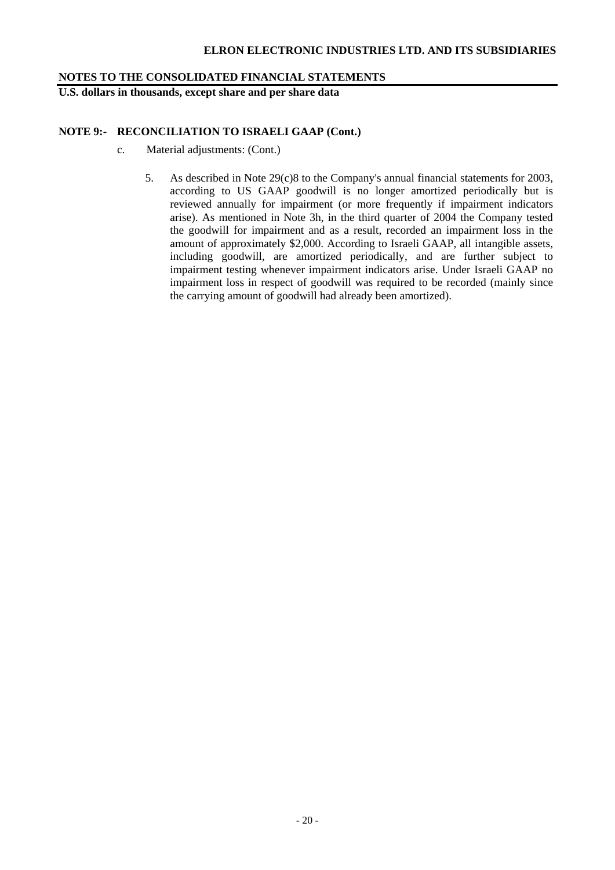# **NOTES TO THE CONSOLIDATED FINANCIAL STATEMENTS**

**U.S. dollars in thousands, except share and per share data** 

# **NOTE 9:- RECONCILIATION TO ISRAELI GAAP (Cont.)**

- c. Material adjustments: (Cont.)
	- 5. As described in Note 29(c)8 to the Company's annual financial statements for 2003, according to US GAAP goodwill is no longer amortized periodically but is reviewed annually for impairment (or more frequently if impairment indicators arise). As mentioned in Note 3h, in the third quarter of 2004 the Company tested the goodwill for impairment and as a result, recorded an impairment loss in the amount of approximately \$2,000. According to Israeli GAAP, all intangible assets, including goodwill, are amortized periodically, and are further subject to impairment testing whenever impairment indicators arise. Under Israeli GAAP no impairment loss in respect of goodwill was required to be recorded (mainly since the carrying amount of goodwill had already been amortized).